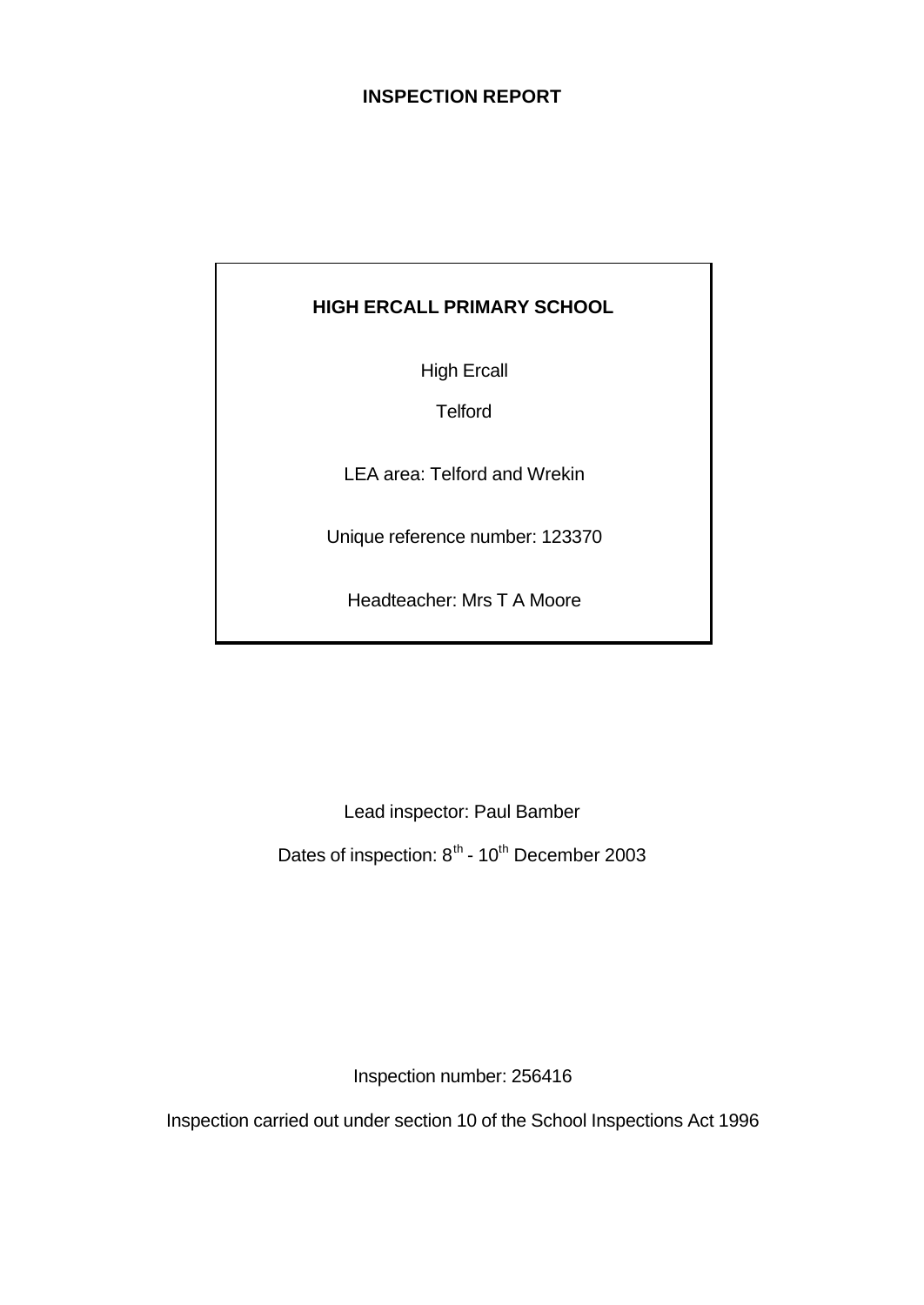# **INSPECTION REPORT**

# **HIGH ERCALL PRIMARY SCHOOL**

High Ercall

**Telford** 

LEA area: Telford and Wrekin

Unique reference number: 123370

Headteacher: Mrs T A Moore

Lead inspector: Paul Bamber Dates of inspection: 8<sup>th</sup> - 10<sup>th</sup> December 2003

Inspection number: 256416

Inspection carried out under section 10 of the School Inspections Act 1996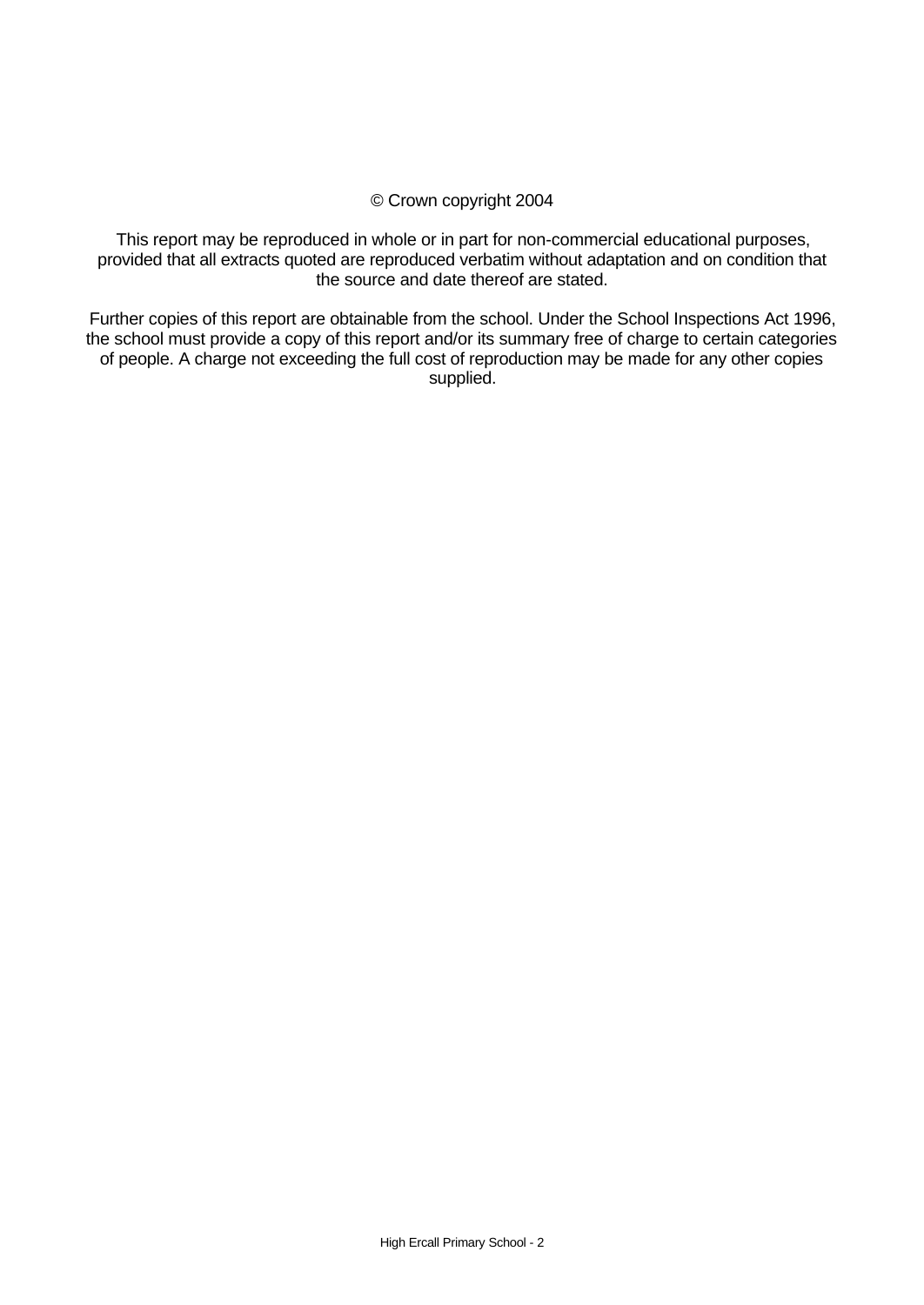### © Crown copyright 2004

This report may be reproduced in whole or in part for non-commercial educational purposes, provided that all extracts quoted are reproduced verbatim without adaptation and on condition that the source and date thereof are stated.

Further copies of this report are obtainable from the school. Under the School Inspections Act 1996, the school must provide a copy of this report and/or its summary free of charge to certain categories of people. A charge not exceeding the full cost of reproduction may be made for any other copies supplied.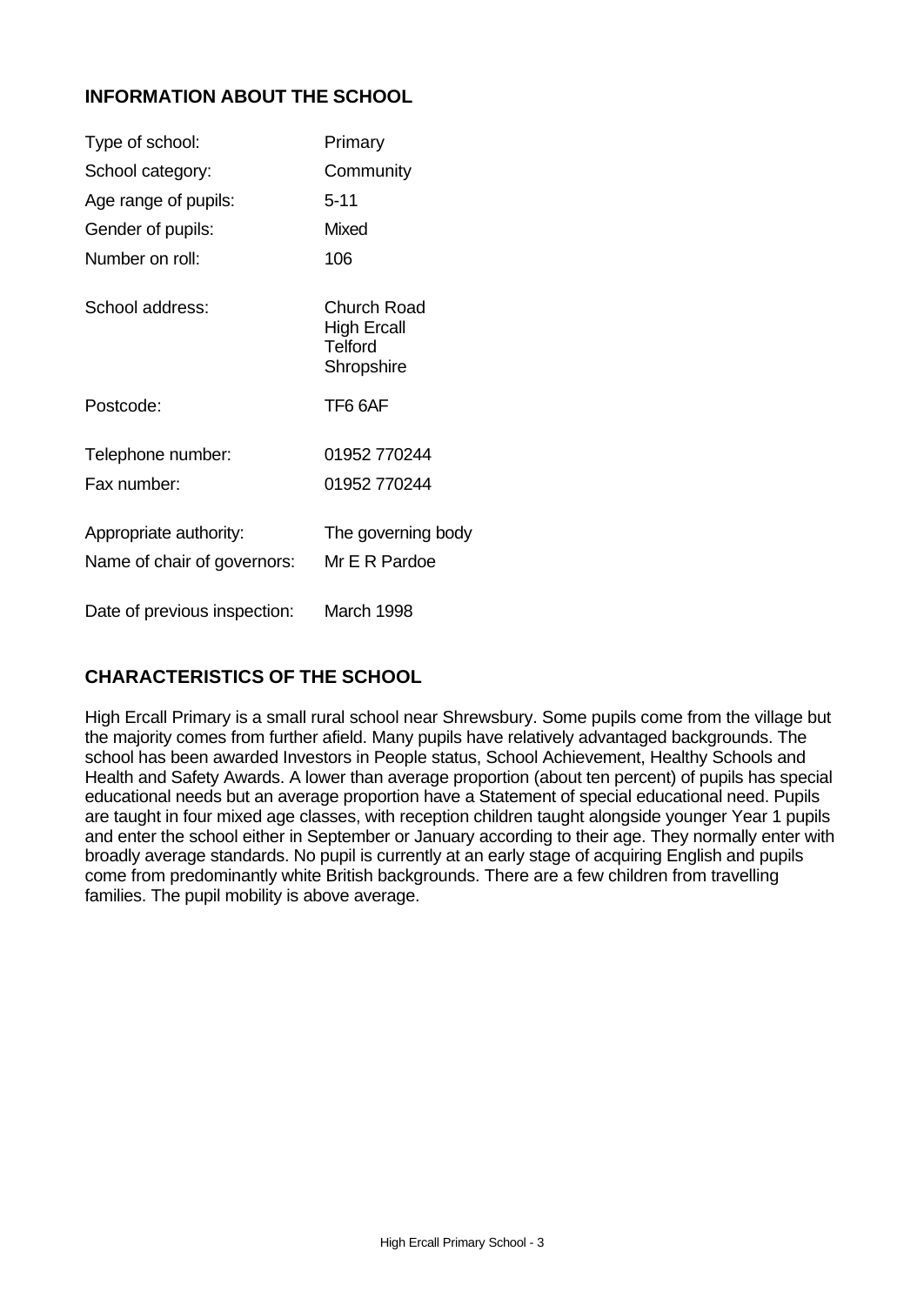# **INFORMATION ABOUT THE SCHOOL**

| Type of school:                                       | Primary                                                           |
|-------------------------------------------------------|-------------------------------------------------------------------|
| School category:                                      | Community                                                         |
| Age range of pupils:                                  | $5 - 11$                                                          |
| Gender of pupils:                                     | Mixed                                                             |
| Number on roll:                                       | 106                                                               |
| School address:                                       | Church Road<br><b>High Ercall</b><br><b>Telford</b><br>Shropshire |
| Postcode:                                             | TF6 6AF                                                           |
| Telephone number:                                     | 01952 770244                                                      |
| Fax number:                                           | 01952 770244                                                      |
| Appropriate authority:<br>Name of chair of governors: | The governing body<br>Mr E R Pardoe                               |
| Date of previous inspection:                          | March 1998                                                        |

# **CHARACTERISTICS OF THE SCHOOL**

High Ercall Primary is a small rural school near Shrewsbury. Some pupils come from the village but the majority comes from further afield. Many pupils have relatively advantaged backgrounds. The school has been awarded Investors in People status, School Achievement, Healthy Schools and Health and Safety Awards. A lower than average proportion (about ten percent) of pupils has special educational needs but an average proportion have a Statement of special educational need. Pupils are taught in four mixed age classes, with reception children taught alongside younger Year 1 pupils and enter the school either in September or January according to their age. They normally enter with broadly average standards. No pupil is currently at an early stage of acquiring English and pupils come from predominantly white British backgrounds. There are a few children from travelling families. The pupil mobility is above average.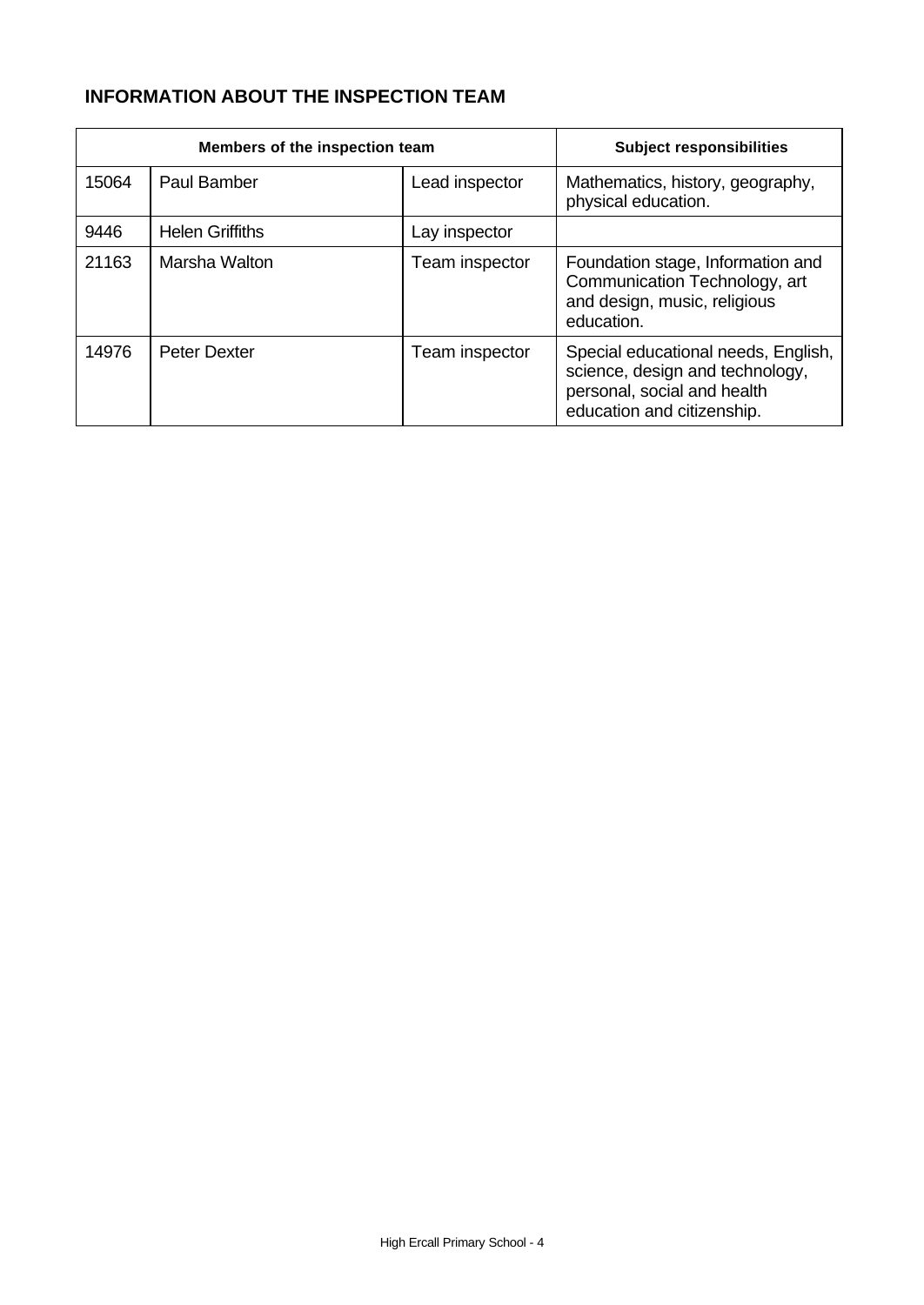# **INFORMATION ABOUT THE INSPECTION TEAM**

|       | Members of the inspection team | <b>Subject responsibilities</b> |                                                                                                                                     |
|-------|--------------------------------|---------------------------------|-------------------------------------------------------------------------------------------------------------------------------------|
| 15064 | <b>Paul Bamber</b>             | Lead inspector                  | Mathematics, history, geography,<br>physical education.                                                                             |
| 9446  | <b>Helen Griffiths</b>         | Lay inspector                   |                                                                                                                                     |
| 21163 | Marsha Walton                  | Team inspector                  | Foundation stage, Information and<br>Communication Technology, art<br>and design, music, religious<br>education.                    |
| 14976 | Peter Dexter                   | Team inspector                  | Special educational needs, English,<br>science, design and technology,<br>personal, social and health<br>education and citizenship. |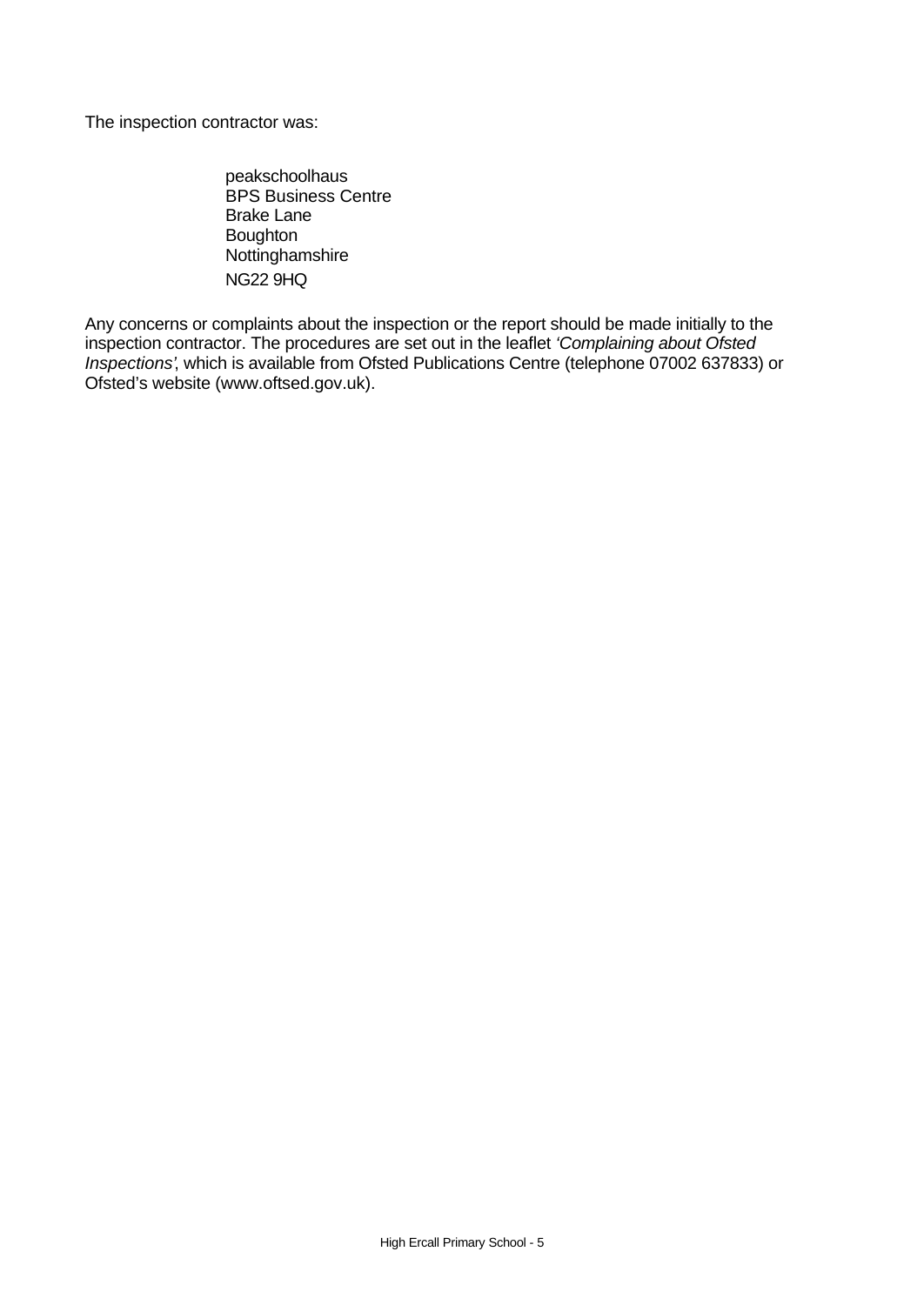The inspection contractor was:

peakschoolhaus BPS Business Centre Brake Lane Boughton Nottinghamshire NG22 9HQ

Any concerns or complaints about the inspection or the report should be made initially to the inspection contractor. The procedures are set out in the leaflet *'Complaining about Ofsted Inspections'*, which is available from Ofsted Publications Centre (telephone 07002 637833) or Ofsted's website (www.oftsed.gov.uk).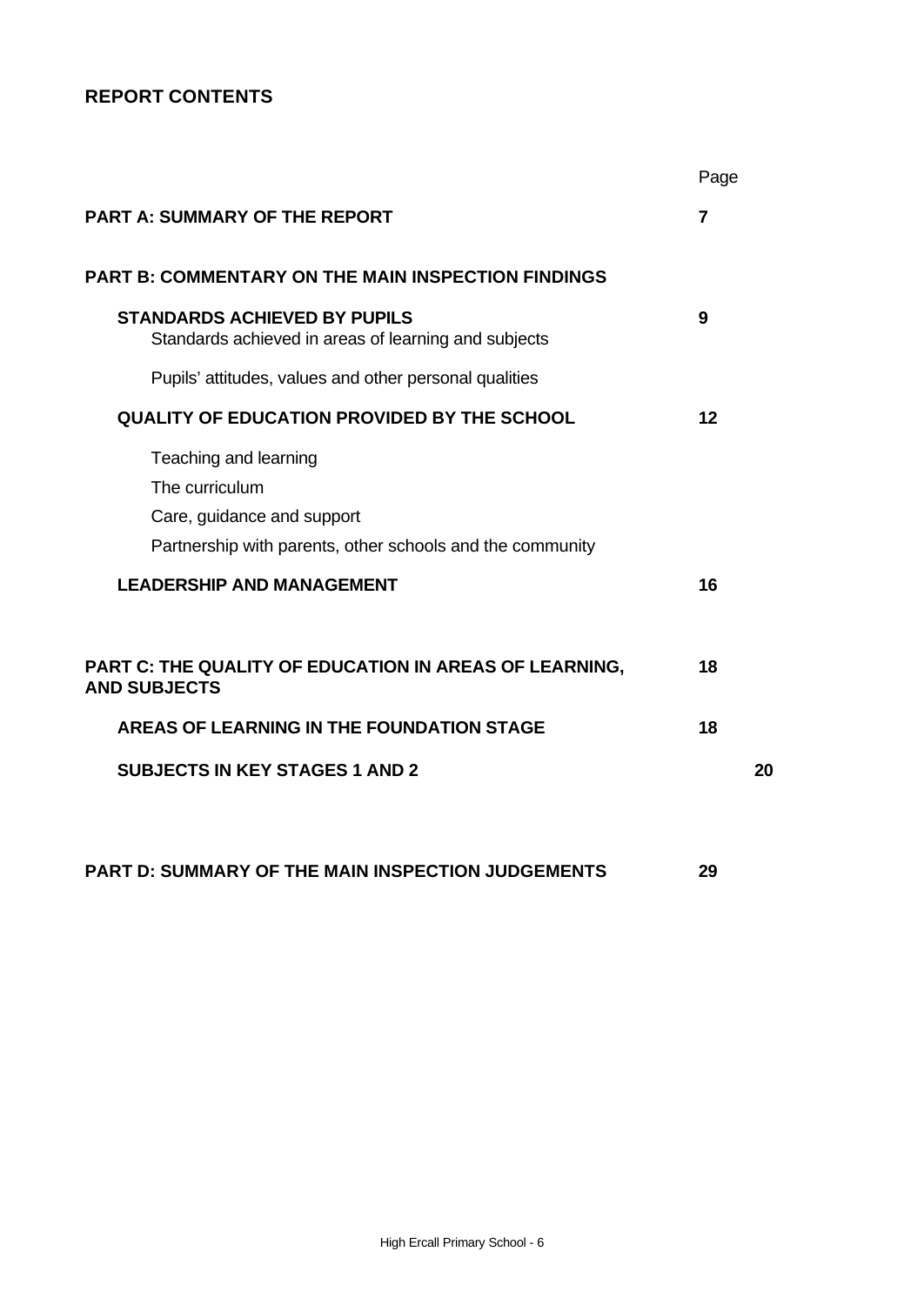# **REPORT CONTENTS**

|                                                                                                                                                                        | Page |
|------------------------------------------------------------------------------------------------------------------------------------------------------------------------|------|
| <b>PART A: SUMMARY OF THE REPORT</b>                                                                                                                                   | 7    |
| <b>PART B: COMMENTARY ON THE MAIN INSPECTION FINDINGS</b>                                                                                                              |      |
| <b>STANDARDS ACHIEVED BY PUPILS</b><br>Standards achieved in areas of learning and subjects                                                                            | 9    |
| Pupils' attitudes, values and other personal qualities                                                                                                                 |      |
| <b>QUALITY OF EDUCATION PROVIDED BY THE SCHOOL</b>                                                                                                                     | 12   |
| Teaching and learning<br>The curriculum<br>Care, guidance and support<br>Partnership with parents, other schools and the community<br><b>LEADERSHIP AND MANAGEMENT</b> | 16   |
| PART C: THE QUALITY OF EDUCATION IN AREAS OF LEARNING,<br><b>AND SUBJECTS</b>                                                                                          | 18   |
| <b>AREAS OF LEARNING IN THE FOUNDATION STAGE</b>                                                                                                                       | 18   |
| <b>SUBJECTS IN KEY STAGES 1 AND 2</b>                                                                                                                                  | 20   |
|                                                                                                                                                                        |      |
|                                                                                                                                                                        |      |

**PART D: SUMMARY OF THE MAIN INSPECTION JUDGEMENTS 29**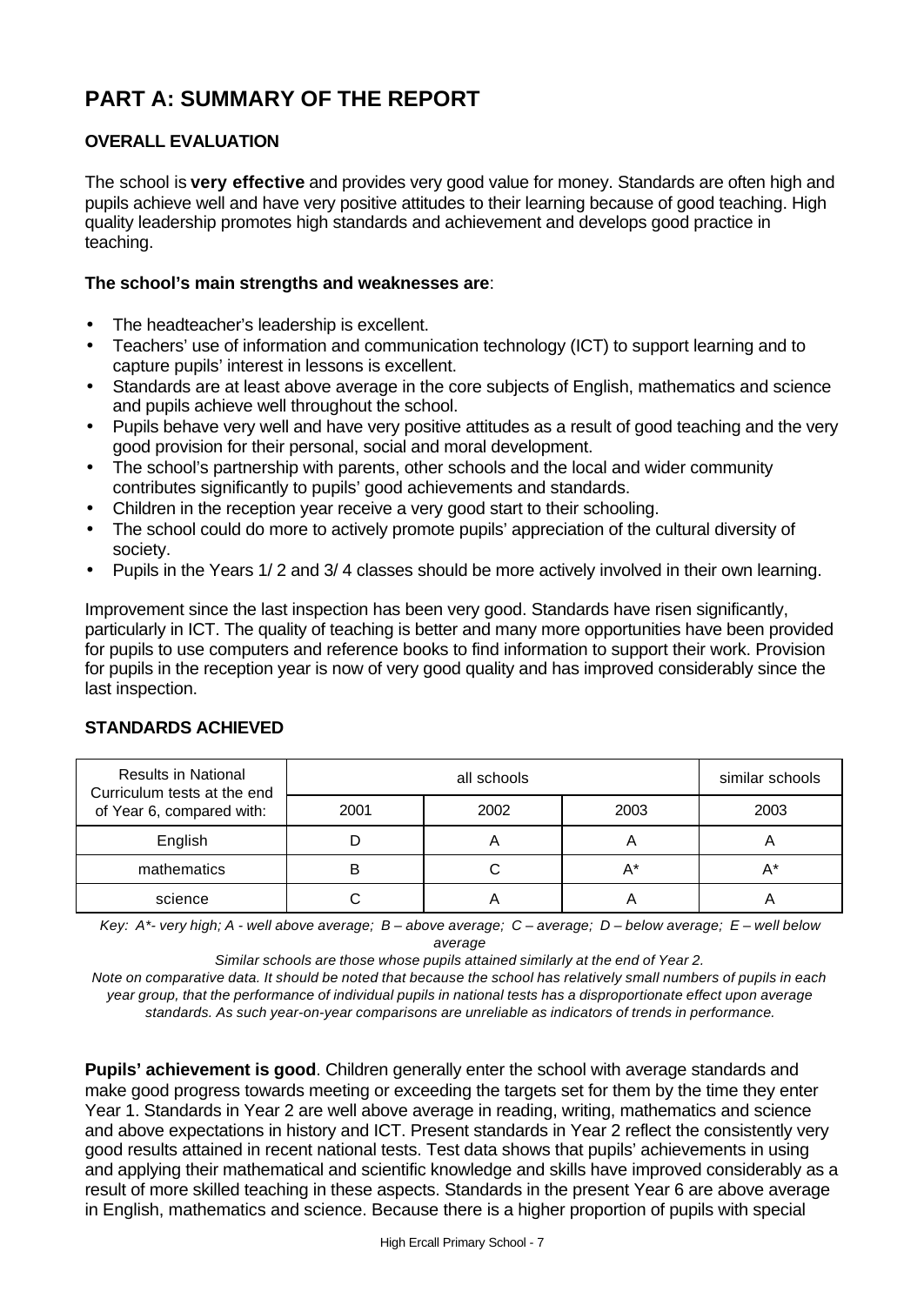# **PART A: SUMMARY OF THE REPORT**

# **OVERALL EVALUATION**

The school is **very effective** and provides very good value for money. Standards are often high and pupils achieve well and have very positive attitudes to their learning because of good teaching. High quality leadership promotes high standards and achievement and develops good practice in teaching.

### **The school's main strengths and weaknesses are**:

- The headteacher's leadership is excellent.
- Teachers' use of information and communication technology (ICT) to support learning and to capture pupils' interest in lessons is excellent.
- Standards are at least above average in the core subjects of English, mathematics and science and pupils achieve well throughout the school.
- Pupils behave very well and have very positive attitudes as a result of good teaching and the very good provision for their personal, social and moral development.
- The school's partnership with parents, other schools and the local and wider community contributes significantly to pupils' good achievements and standards.
- Children in the reception year receive a very good start to their schooling.
- The school could do more to actively promote pupils' appreciation of the cultural diversity of society.
- Pupils in the Years 1/ 2 and 3/ 4 classes should be more actively involved in their own learning.

Improvement since the last inspection has been very good. Standards have risen significantly, particularly in ICT. The quality of teaching is better and many more opportunities have been provided for pupils to use computers and reference books to find information to support their work. Provision for pupils in the reception year is now of very good quality and has improved considerably since the last inspection.

| <b>Results in National</b><br>Curriculum tests at the end<br>of Year 6, compared with: |      | similar schools |       |      |
|----------------------------------------------------------------------------------------|------|-----------------|-------|------|
|                                                                                        | 2001 | 2002            | 2003  | 2003 |
| English                                                                                |      |                 |       |      |
| mathematics                                                                            |      |                 | $A^*$ |      |
| science                                                                                |      |                 | Α     |      |

# **STANDARDS ACHIEVED**

*Key: A\*- very high; A - well above average; B – above average; C – average; D – below average; E – well below average*

*Similar schools are those whose pupils attained similarly at the end of Year 2.*

*Note on comparative data. It should be noted that because the school has relatively small numbers of pupils in each year group, that the performance of individual pupils in national tests has a disproportionate effect upon average standards. As such year-on-year comparisons are unreliable as indicators of trends in performance.*

**Pupils' achievement is good**. Children generally enter the school with average standards and make good progress towards meeting or exceeding the targets set for them by the time they enter Year 1. Standards in Year 2 are well above average in reading, writing, mathematics and science and above expectations in history and ICT. Present standards in Year 2 reflect the consistently very good results attained in recent national tests. Test data shows that pupils' achievements in using and applying their mathematical and scientific knowledge and skills have improved considerably as a result of more skilled teaching in these aspects. Standards in the present Year 6 are above average in English, mathematics and science. Because there is a higher proportion of pupils with special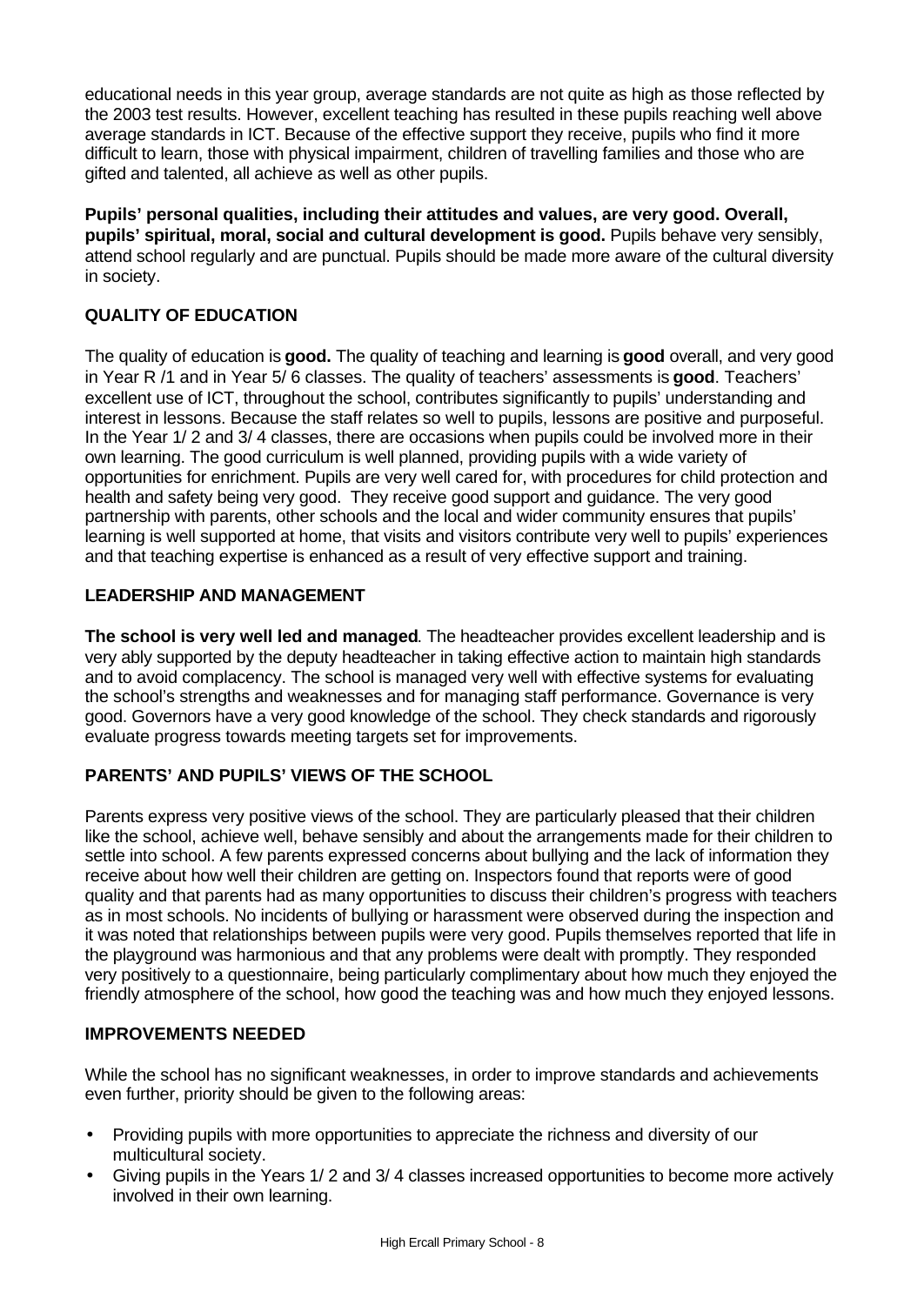educational needs in this year group, average standards are not quite as high as those reflected by the 2003 test results. However, excellent teaching has resulted in these pupils reaching well above average standards in ICT. Because of the effective support they receive, pupils who find it more difficult to learn, those with physical impairment, children of travelling families and those who are gifted and talented, all achieve as well as other pupils.

**Pupils' personal qualities, including their attitudes and values, are very good. Overall, pupils' spiritual, moral, social and cultural development is good.** Pupils behave very sensibly, attend school regularly and are punctual. Pupils should be made more aware of the cultural diversity in society.

# **QUALITY OF EDUCATION**

The quality of education is **good.** The quality of teaching and learning is **good** overall, and very good in Year R /1 and in Year 5/ 6 classes. The quality of teachers' assessments is **good**. Teachers' excellent use of ICT, throughout the school, contributes significantly to pupils' understanding and interest in lessons. Because the staff relates so well to pupils, lessons are positive and purposeful. In the Year 1/ 2 and 3/ 4 classes, there are occasions when pupils could be involved more in their own learning. The good curriculum is well planned, providing pupils with a wide variety of opportunities for enrichment. Pupils are very well cared for, with procedures for child protection and health and safety being very good. They receive good support and guidance. The very good partnership with parents, other schools and the local and wider community ensures that pupils' learning is well supported at home, that visits and visitors contribute very well to pupils' experiences and that teaching expertise is enhanced as a result of very effective support and training.

# **LEADERSHIP AND MANAGEMENT**

**The school is very well led and managed**. The headteacher provides excellent leadership and is very ably supported by the deputy headteacher in taking effective action to maintain high standards and to avoid complacency. The school is managed very well with effective systems for evaluating the school's strengths and weaknesses and for managing staff performance. Governance is very good. Governors have a very good knowledge of the school. They check standards and rigorously evaluate progress towards meeting targets set for improvements.

# **PARENTS' AND PUPILS' VIEWS OF THE SCHOOL**

Parents express very positive views of the school. They are particularly pleased that their children like the school, achieve well, behave sensibly and about the arrangements made for their children to settle into school. A few parents expressed concerns about bullying and the lack of information they receive about how well their children are getting on. Inspectors found that reports were of good quality and that parents had as many opportunities to discuss their children's progress with teachers as in most schools. No incidents of bullying or harassment were observed during the inspection and it was noted that relationships between pupils were very good. Pupils themselves reported that life in the playground was harmonious and that any problems were dealt with promptly. They responded very positively to a questionnaire, being particularly complimentary about how much they enjoyed the friendly atmosphere of the school, how good the teaching was and how much they enjoyed lessons.

# **IMPROVEMENTS NEEDED**

While the school has no significant weaknesses, in order to improve standards and achievements even further, priority should be given to the following areas:

- Providing pupils with more opportunities to appreciate the richness and diversity of our multicultural society.
- Giving pupils in the Years 1/ 2 and 3/ 4 classes increased opportunities to become more actively involved in their own learning.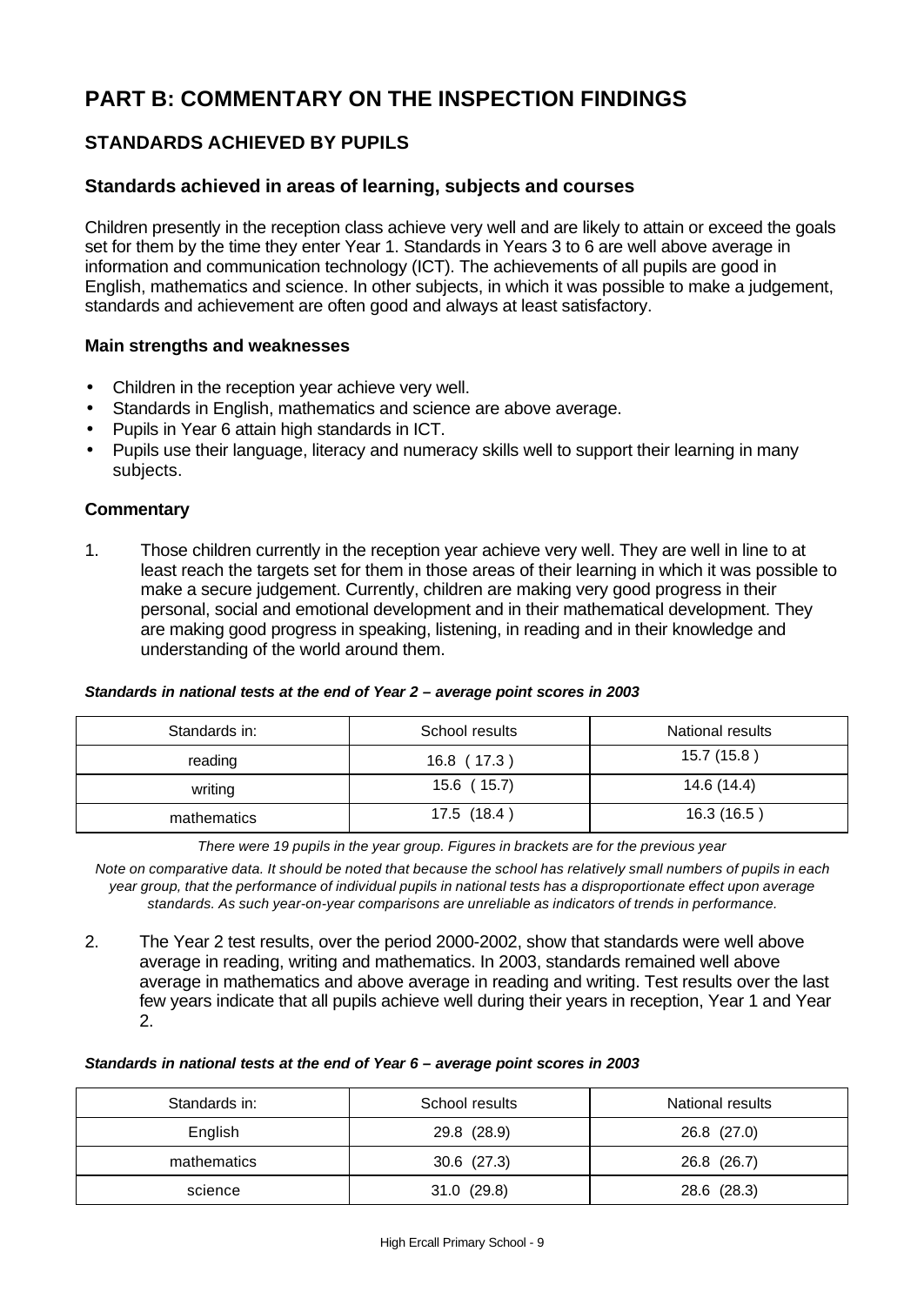# **PART B: COMMENTARY ON THE INSPECTION FINDINGS**

# **STANDARDS ACHIEVED BY PUPILS**

# **Standards achieved in areas of learning, subjects and courses**

Children presently in the reception class achieve very well and are likely to attain or exceed the goals set for them by the time they enter Year 1. Standards in Years 3 to 6 are well above average in information and communication technology (ICT). The achievements of all pupils are good in English, mathematics and science. In other subjects, in which it was possible to make a judgement, standards and achievement are often good and always at least satisfactory.

### **Main strengths and weaknesses**

- Children in the reception year achieve very well.
- Standards in English, mathematics and science are above average.
- Pupils in Year 6 attain high standards in ICT.
- Pupils use their language, literacy and numeracy skills well to support their learning in many subjects.

### **Commentary**

1. Those children currently in the reception year achieve very well. They are well in line to at least reach the targets set for them in those areas of their learning in which it was possible to make a secure judgement. Currently, children are making very good progress in their personal, social and emotional development and in their mathematical development. They are making good progress in speaking, listening, in reading and in their knowledge and understanding of the world around them.

#### *Standards in national tests at the end of Year 2 – average point scores in 2003*

| Standards in: | School results | National results |
|---------------|----------------|------------------|
| reading       | 16.8 (17.3)    | 15.7 (15.8)      |
| writing       | 15.6 (15.7)    | 14.6 (14.4)      |
| mathematics   | 17.5 (18.4)    | 16.3(16.5)       |

*There were 19 pupils in the year group. Figures in brackets are for the previous year*

*Note on comparative data. It should be noted that because the school has relatively small numbers of pupils in each year group, that the performance of individual pupils in national tests has a disproportionate effect upon average standards. As such year-on-year comparisons are unreliable as indicators of trends in performance.*

2. The Year 2 test results, over the period 2000-2002, show that standards were well above average in reading, writing and mathematics. In 2003, standards remained well above average in mathematics and above average in reading and writing. Test results over the last few years indicate that all pupils achieve well during their years in reception, Year 1 and Year 2.

### *Standards in national tests at the end of Year 6 – average point scores in 2003*

| Standards in: | School results  | National results |
|---------------|-----------------|------------------|
| English       | 29.8 (28.9)     | 26.8 (27.0)      |
| mathematics   | $30.6$ $(27.3)$ | 26.8 (26.7)      |
| science       | 31.0(29.8)      | 28.6 (28.3)      |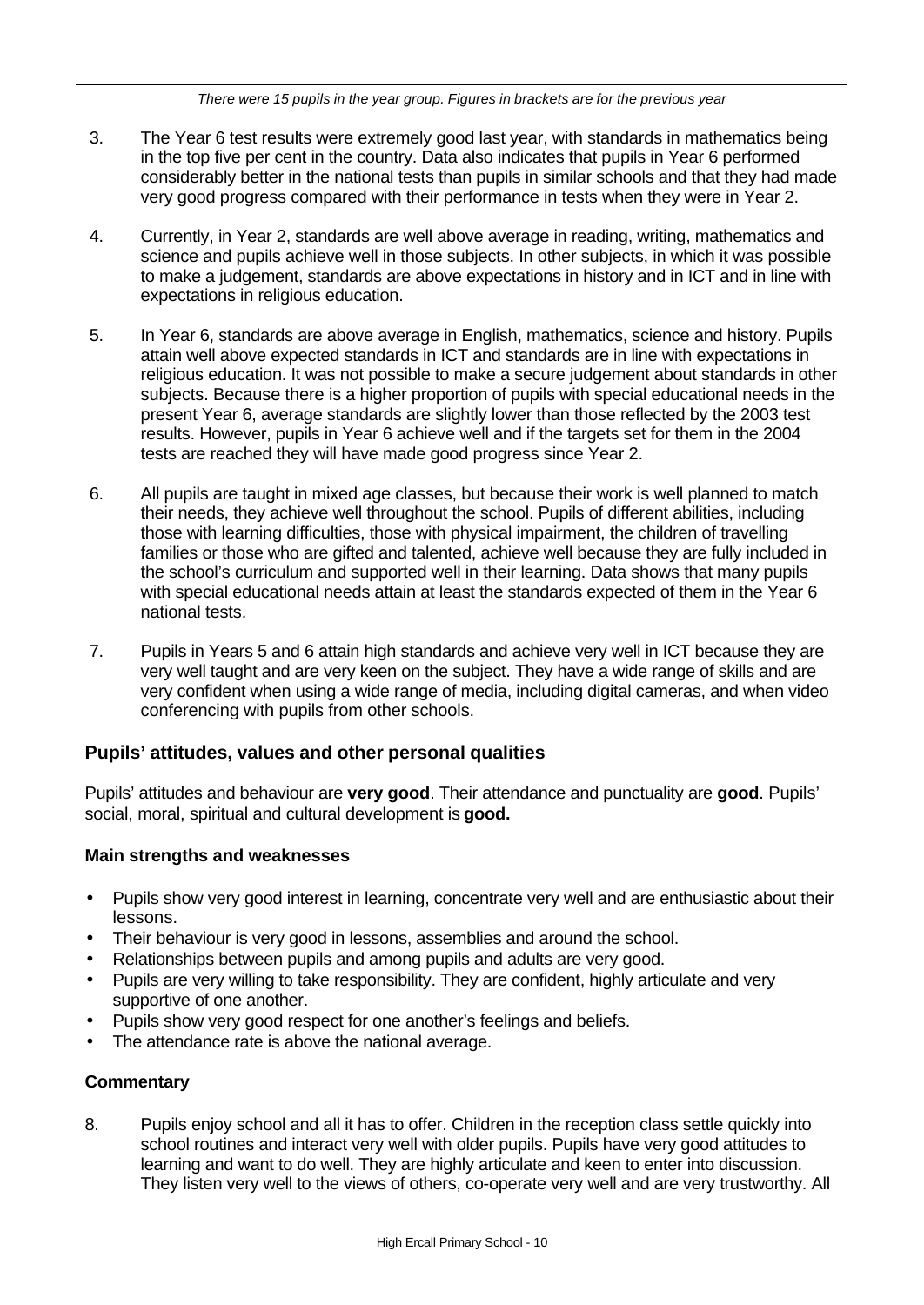*There were 15 pupils in the year group. Figures in brackets are for the previous year*

- 3. The Year 6 test results were extremely good last year, with standards in mathematics being in the top five per cent in the country. Data also indicates that pupils in Year 6 performed considerably better in the national tests than pupils in similar schools and that they had made very good progress compared with their performance in tests when they were in Year 2.
- 4. Currently, in Year 2, standards are well above average in reading, writing, mathematics and science and pupils achieve well in those subjects. In other subjects, in which it was possible to make a judgement, standards are above expectations in history and in ICT and in line with expectations in religious education.
- 5. In Year 6, standards are above average in English, mathematics, science and history. Pupils attain well above expected standards in ICT and standards are in line with expectations in religious education. It was not possible to make a secure judgement about standards in other subjects. Because there is a higher proportion of pupils with special educational needs in the present Year 6, average standards are slightly lower than those reflected by the 2003 test results. However, pupils in Year 6 achieve well and if the targets set for them in the 2004 tests are reached they will have made good progress since Year 2.
- 6. All pupils are taught in mixed age classes, but because their work is well planned to match their needs, they achieve well throughout the school. Pupils of different abilities, including those with learning difficulties, those with physical impairment, the children of travelling families or those who are gifted and talented, achieve well because they are fully included in the school's curriculum and supported well in their learning. Data shows that many pupils with special educational needs attain at least the standards expected of them in the Year 6 national tests.
- 7. Pupils in Years 5 and 6 attain high standards and achieve very well in ICT because they are very well taught and are very keen on the subject. They have a wide range of skills and are very confident when using a wide range of media, including digital cameras, and when video conferencing with pupils from other schools.

# **Pupils' attitudes, values and other personal qualities**

Pupils' attitudes and behaviour are **very good**. Their attendance and punctuality are **good**. Pupils' social, moral, spiritual and cultural development is **good.**

### **Main strengths and weaknesses**

- Pupils show very good interest in learning, concentrate very well and are enthusiastic about their lessons.
- Their behaviour is very good in lessons, assemblies and around the school.
- Relationships between pupils and among pupils and adults are very good.
- Pupils are very willing to take responsibility. They are confident, highly articulate and very supportive of one another.
- Pupils show very good respect for one another's feelings and beliefs.
- The attendance rate is above the national average.

### **Commentary**

8. Pupils enjoy school and all it has to offer. Children in the reception class settle quickly into school routines and interact very well with older pupils. Pupils have very good attitudes to learning and want to do well. They are highly articulate and keen to enter into discussion. They listen very well to the views of others, co-operate very well and are very trustworthy. All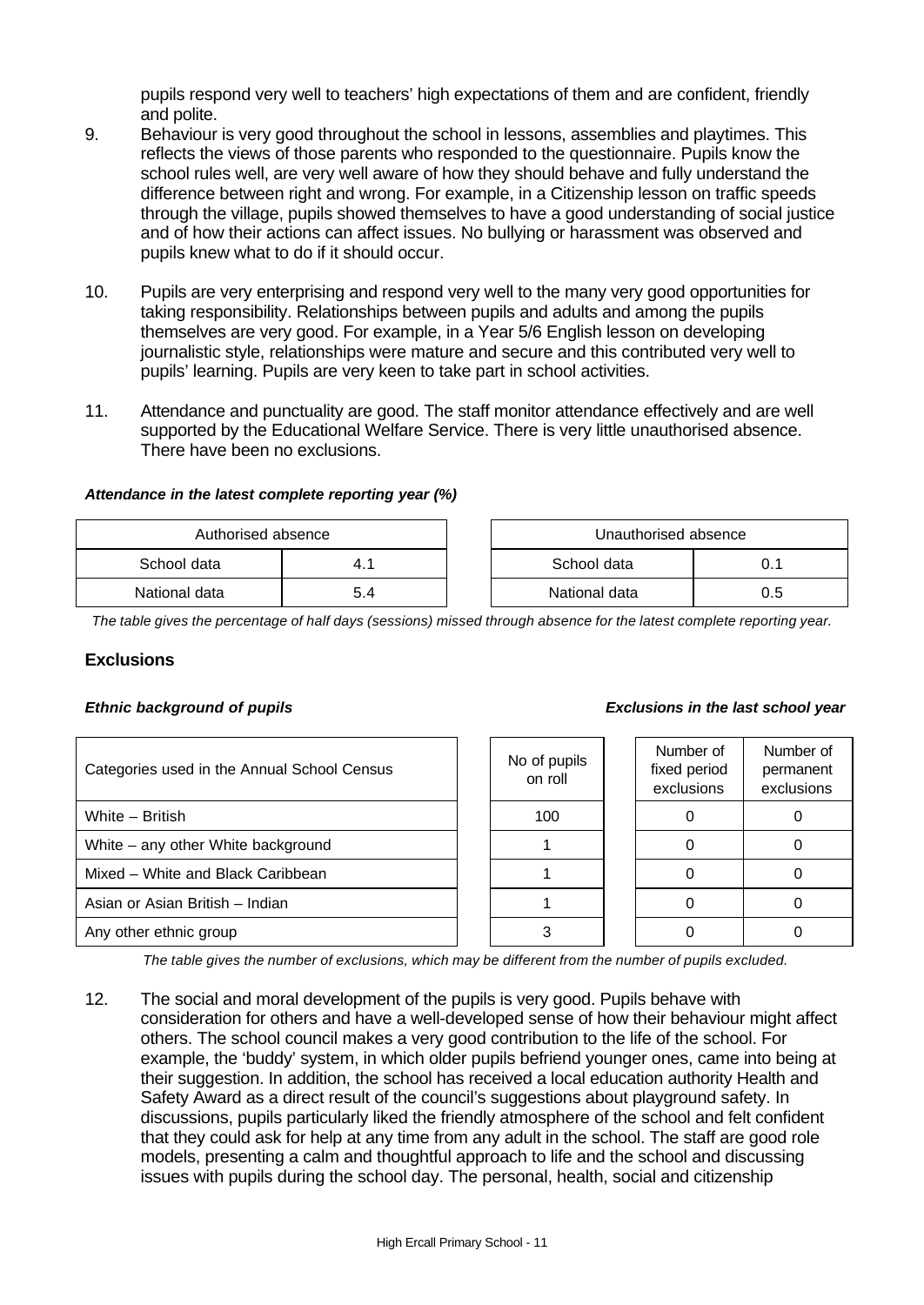pupils respond very well to teachers' high expectations of them and are confident, friendly and polite.

- 9. Behaviour is very good throughout the school in lessons, assemblies and playtimes. This reflects the views of those parents who responded to the questionnaire. Pupils know the school rules well, are very well aware of how they should behave and fully understand the difference between right and wrong. For example, in a Citizenship lesson on traffic speeds through the village, pupils showed themselves to have a good understanding of social justice and of how their actions can affect issues. No bullying or harassment was observed and pupils knew what to do if it should occur.
- 10. Pupils are very enterprising and respond very well to the many very good opportunities for taking responsibility. Relationships between pupils and adults and among the pupils themselves are very good. For example, in a Year 5/6 English lesson on developing journalistic style, relationships were mature and secure and this contributed very well to pupils' learning. Pupils are very keen to take part in school activities.
- 11. Attendance and punctuality are good. The staff monitor attendance effectively and are well supported by the Educational Welfare Service. There is very little unauthorised absence. There have been no exclusions.

### *Attendance in the latest complete reporting year (%)*

| Authorised absence |     |  | Unauthorised absence |     |
|--------------------|-----|--|----------------------|-----|
| School data        |     |  | School data          |     |
| National data      | 5.4 |  | National data        | 0.5 |

*The table gives the percentage of half days (sessions) missed through absence for the latest complete reporting year.*

### **Exclusions**

| Categories used in the Annual School Census |  | No of pupils<br>on roll | Number of<br>fixed period<br>exclusions | Number of<br>permanent<br>exclusions |
|---------------------------------------------|--|-------------------------|-----------------------------------------|--------------------------------------|
| White - British                             |  | 100                     |                                         |                                      |
| White – any other White background          |  |                         |                                         |                                      |
| Mixed – White and Black Caribbean           |  |                         |                                         |                                      |
| Asian or Asian British - Indian             |  |                         |                                         |                                      |
| Any other ethnic group                      |  |                         |                                         |                                      |

*The table gives the number of exclusions, which may be different from the number of pupils excluded.*

12. The social and moral development of the pupils is very good. Pupils behave with consideration for others and have a well-developed sense of how their behaviour might affect others. The school council makes a very good contribution to the life of the school. For example, the 'buddy' system, in which older pupils befriend younger ones, came into being at their suggestion. In addition, the school has received a local education authority Health and Safety Award as a direct result of the council's suggestions about playground safety. In discussions, pupils particularly liked the friendly atmosphere of the school and felt confident that they could ask for help at any time from any adult in the school. The staff are good role models, presenting a calm and thoughtful approach to life and the school and discussing issues with pupils during the school day. The personal, health, social and citizenship

#### *Ethnic background of pupils Exclusions in the last school year*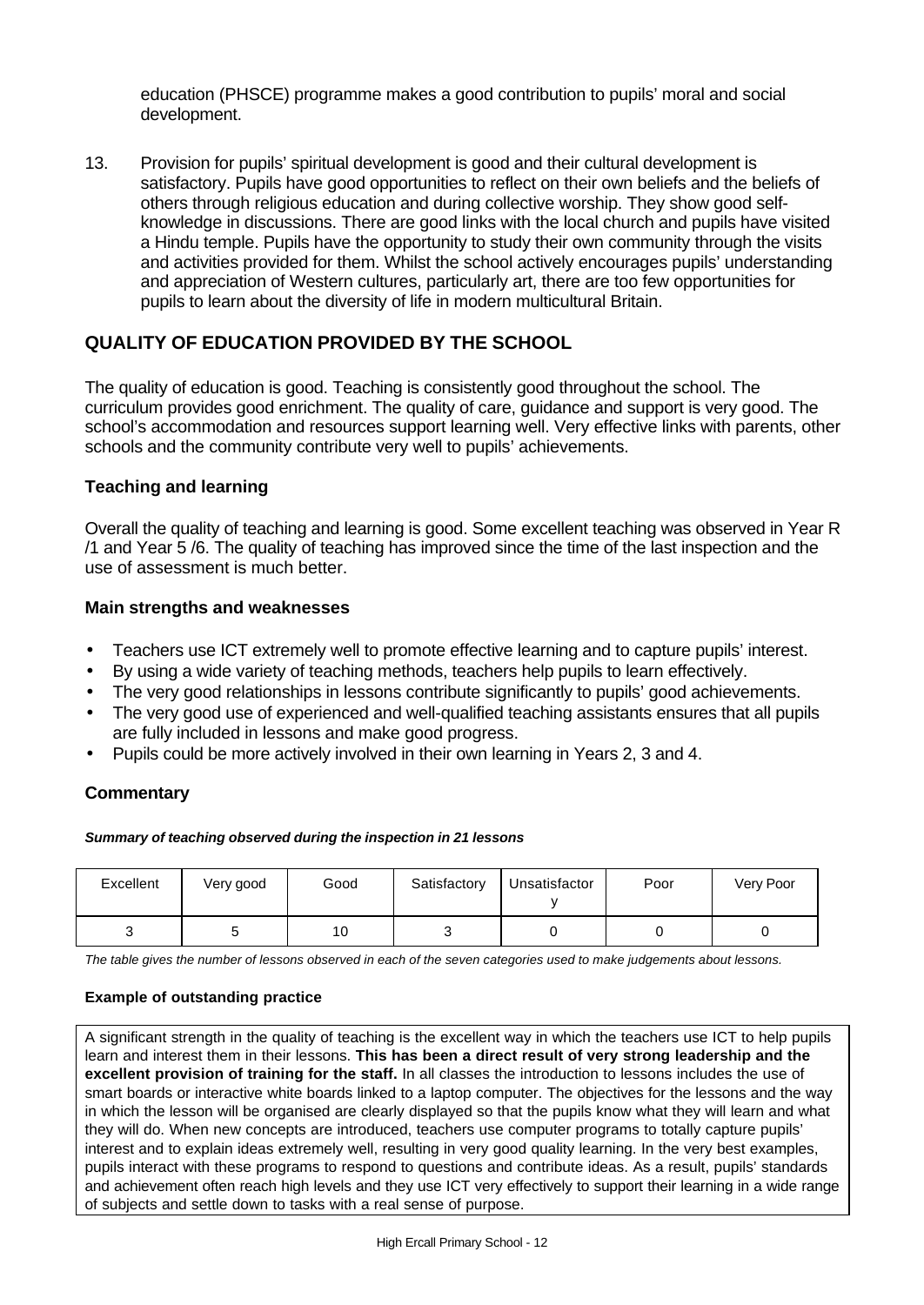education (PHSCE) programme makes a good contribution to pupils' moral and social development.

13. Provision for pupils' spiritual development is good and their cultural development is satisfactory. Pupils have good opportunities to reflect on their own beliefs and the beliefs of others through religious education and during collective worship. They show good selfknowledge in discussions. There are good links with the local church and pupils have visited a Hindu temple. Pupils have the opportunity to study their own community through the visits and activities provided for them. Whilst the school actively encourages pupils' understanding and appreciation of Western cultures, particularly art, there are too few opportunities for pupils to learn about the diversity of life in modern multicultural Britain.

# **QUALITY OF EDUCATION PROVIDED BY THE SCHOOL**

The quality of education is good. Teaching is consistently good throughout the school. The curriculum provides good enrichment. The quality of care, guidance and support is very good. The school's accommodation and resources support learning well. Very effective links with parents, other schools and the community contribute very well to pupils' achievements.

### **Teaching and learning**

Overall the quality of teaching and learning is good. Some excellent teaching was observed in Year R /1 and Year 5 /6. The quality of teaching has improved since the time of the last inspection and the use of assessment is much better.

### **Main strengths and weaknesses**

- Teachers use ICT extremely well to promote effective learning and to capture pupils' interest.
- By using a wide variety of teaching methods, teachers help pupils to learn effectively.
- The very good relationships in lessons contribute significantly to pupils' good achievements.
- The very good use of experienced and well-qualified teaching assistants ensures that all pupils are fully included in lessons and make good progress.
- Pupils could be more actively involved in their own learning in Years 2, 3 and 4.

### **Commentary**

#### *Summary of teaching observed during the inspection in 21 lessons*

| Excellent | Very good | Good | Satisfactory | Unsatisfactor | Poor | Very Poor |
|-----------|-----------|------|--------------|---------------|------|-----------|
|           |           | 10   |              |               |      |           |

*The table gives the number of lessons observed in each of the seven categories used to make judgements about lessons.*

### **Example of outstanding practice**

A significant strength in the quality of teaching is the excellent way in which the teachers use ICT to help pupils learn and interest them in their lessons. **This has been a direct result of very strong leadership and the excellent provision of training for the staff.** In all classes the introduction to lessons includes the use of smart boards or interactive white boards linked to a laptop computer. The objectives for the lessons and the way in which the lesson will be organised are clearly displayed so that the pupils know what they will learn and what they will do. When new concepts are introduced, teachers use computer programs to totally capture pupils' interest and to explain ideas extremely well, resulting in very good quality learning. In the very best examples, pupils interact with these programs to respond to questions and contribute ideas. As a result, pupils' standards and achievement often reach high levels and they use ICT very effectively to support their learning in a wide range of subjects and settle down to tasks with a real sense of purpose.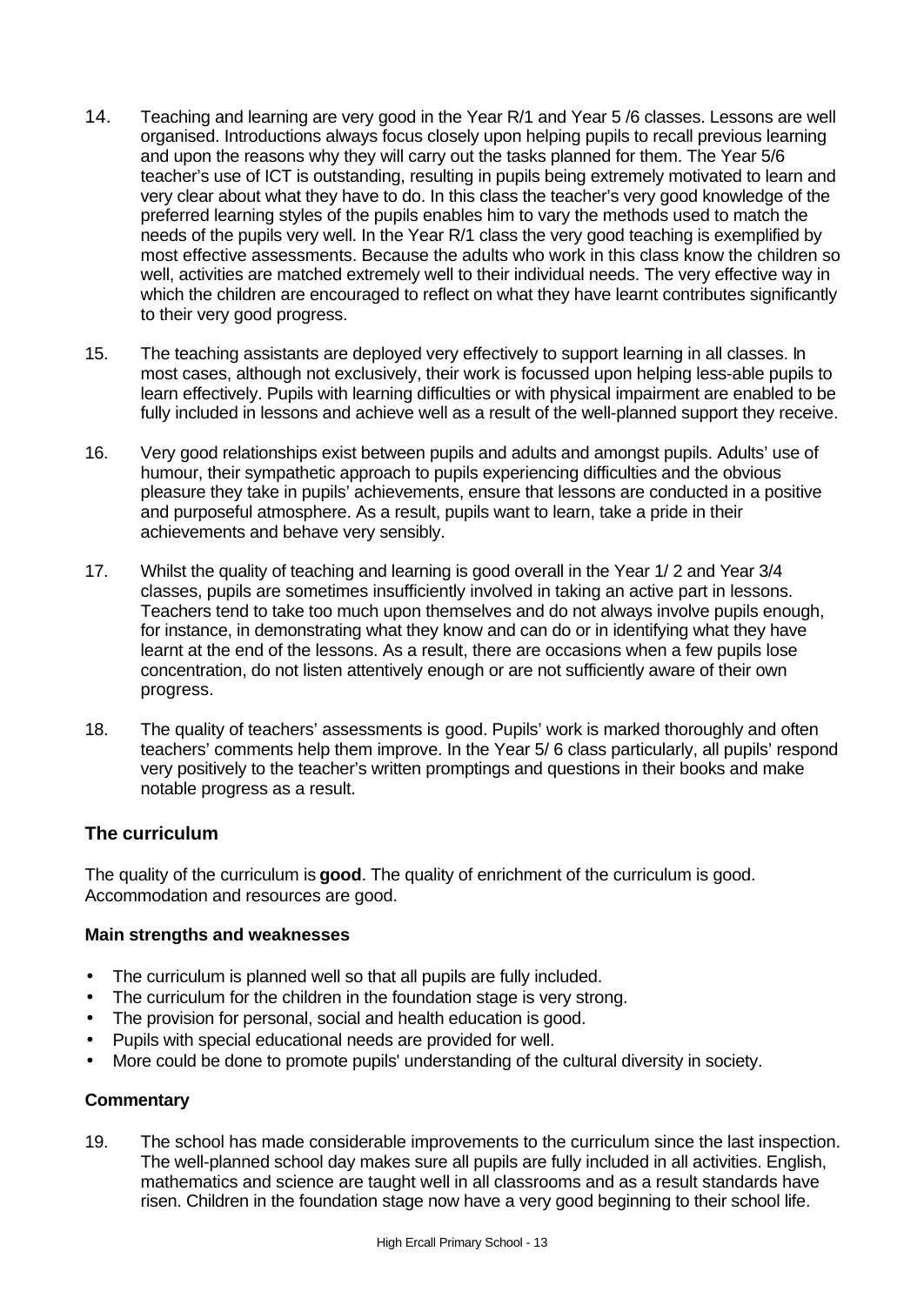- 14. Teaching and learning are very good in the Year R/1 and Year 5 /6 classes. Lessons are well organised. Introductions always focus closely upon helping pupils to recall previous learning and upon the reasons why they will carry out the tasks planned for them. The Year 5/6 teacher's use of ICT is outstanding, resulting in pupils being extremely motivated to learn and very clear about what they have to do. In this class the teacher's very good knowledge of the preferred learning styles of the pupils enables him to vary the methods used to match the needs of the pupils very well. In the Year R/1 class the very good teaching is exemplified by most effective assessments. Because the adults who work in this class know the children so well, activities are matched extremely well to their individual needs. The very effective way in which the children are encouraged to reflect on what they have learnt contributes significantly to their very good progress.
- 15. The teaching assistants are deployed very effectively to support learning in all classes. In most cases, although not exclusively, their work is focussed upon helping less-able pupils to learn effectively. Pupils with learning difficulties or with physical impairment are enabled to be fully included in lessons and achieve well as a result of the well-planned support they receive.
- 16. Very good relationships exist between pupils and adults and amongst pupils. Adults' use of humour, their sympathetic approach to pupils experiencing difficulties and the obvious pleasure they take in pupils' achievements, ensure that lessons are conducted in a positive and purposeful atmosphere. As a result, pupils want to learn, take a pride in their achievements and behave very sensibly.
- 17. Whilst the quality of teaching and learning is good overall in the Year 1/ 2 and Year 3/4 classes, pupils are sometimes insufficiently involved in taking an active part in lessons. Teachers tend to take too much upon themselves and do not always involve pupils enough, for instance, in demonstrating what they know and can do or in identifying what they have learnt at the end of the lessons. As a result, there are occasions when a few pupils lose concentration, do not listen attentively enough or are not sufficiently aware of their own progress.
- 18. The quality of teachers' assessments is good. Pupils' work is marked thoroughly and often teachers' comments help them improve. In the Year 5/ 6 class particularly, all pupils' respond very positively to the teacher's written promptings and questions in their books and make notable progress as a result.

# **The curriculum**

The quality of the curriculum is **good**. The quality of enrichment of the curriculum is good. Accommodation and resources are good.

### **Main strengths and weaknesses**

- The curriculum is planned well so that all pupils are fully included.
- The curriculum for the children in the foundation stage is very strong.
- The provision for personal, social and health education is good.
- Pupils with special educational needs are provided for well.
- More could be done to promote pupils' understanding of the cultural diversity in society.

### **Commentary**

19. The school has made considerable improvements to the curriculum since the last inspection. The well-planned school day makes sure all pupils are fully included in all activities. English, mathematics and science are taught well in all classrooms and as a result standards have risen. Children in the foundation stage now have a very good beginning to their school life.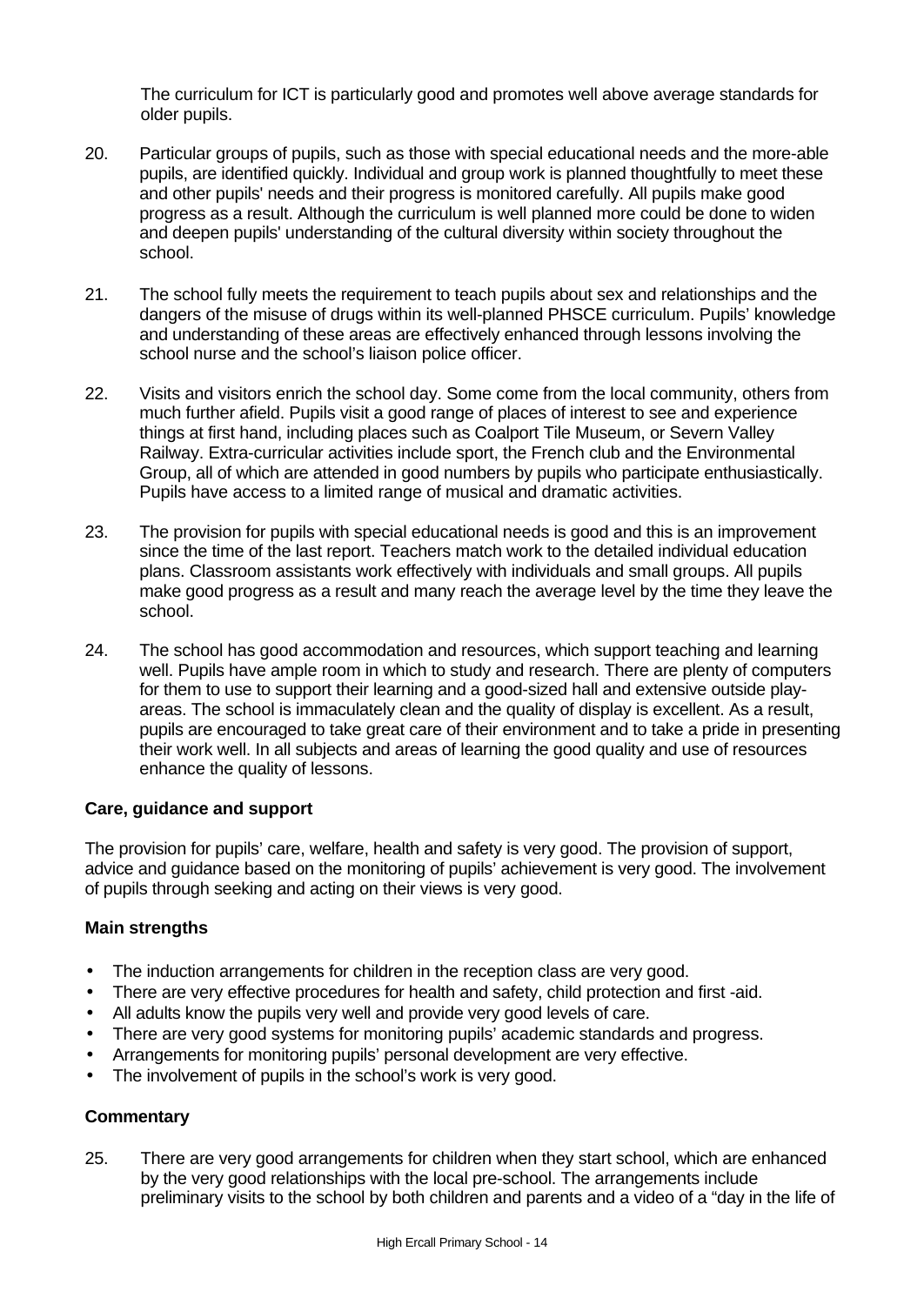The curriculum for ICT is particularly good and promotes well above average standards for older pupils.

- 20. Particular groups of pupils, such as those with special educational needs and the more-able pupils, are identified quickly. Individual and group work is planned thoughtfully to meet these and other pupils' needs and their progress is monitored carefully. All pupils make good progress as a result. Although the curriculum is well planned more could be done to widen and deepen pupils' understanding of the cultural diversity within society throughout the school.
- 21. The school fully meets the requirement to teach pupils about sex and relationships and the dangers of the misuse of drugs within its well-planned PHSCE curriculum. Pupils' knowledge and understanding of these areas are effectively enhanced through lessons involving the school nurse and the school's liaison police officer.
- 22. Visits and visitors enrich the school day. Some come from the local community, others from much further afield. Pupils visit a good range of places of interest to see and experience things at first hand, including places such as Coalport Tile Museum, or Severn Valley Railway. Extra-curricular activities include sport, the French club and the Environmental Group, all of which are attended in good numbers by pupils who participate enthusiastically. Pupils have access to a limited range of musical and dramatic activities.
- 23. The provision for pupils with special educational needs is good and this is an improvement since the time of the last report. Teachers match work to the detailed individual education plans. Classroom assistants work effectively with individuals and small groups. All pupils make good progress as a result and many reach the average level by the time they leave the school.
- 24. The school has good accommodation and resources, which support teaching and learning well. Pupils have ample room in which to study and research. There are plenty of computers for them to use to support their learning and a good-sized hall and extensive outside playareas. The school is immaculately clean and the quality of display is excellent. As a result, pupils are encouraged to take great care of their environment and to take a pride in presenting their work well. In all subjects and areas of learning the good quality and use of resources enhance the quality of lessons.

### **Care, guidance and support**

The provision for pupils' care, welfare, health and safety is very good. The provision of support, advice and guidance based on the monitoring of pupils' achievement is very good. The involvement of pupils through seeking and acting on their views is very good.

### **Main strengths**

- The induction arrangements for children in the reception class are very good.
- There are very effective procedures for health and safety, child protection and first -aid.
- All adults know the pupils very well and provide very good levels of care.
- There are very good systems for monitoring pupils' academic standards and progress.
- Arrangements for monitoring pupils' personal development are very effective.
- The involvement of pupils in the school's work is very good.

### **Commentary**

25. There are very good arrangements for children when they start school, which are enhanced by the very good relationships with the local pre-school. The arrangements include preliminary visits to the school by both children and parents and a video of a "day in the life of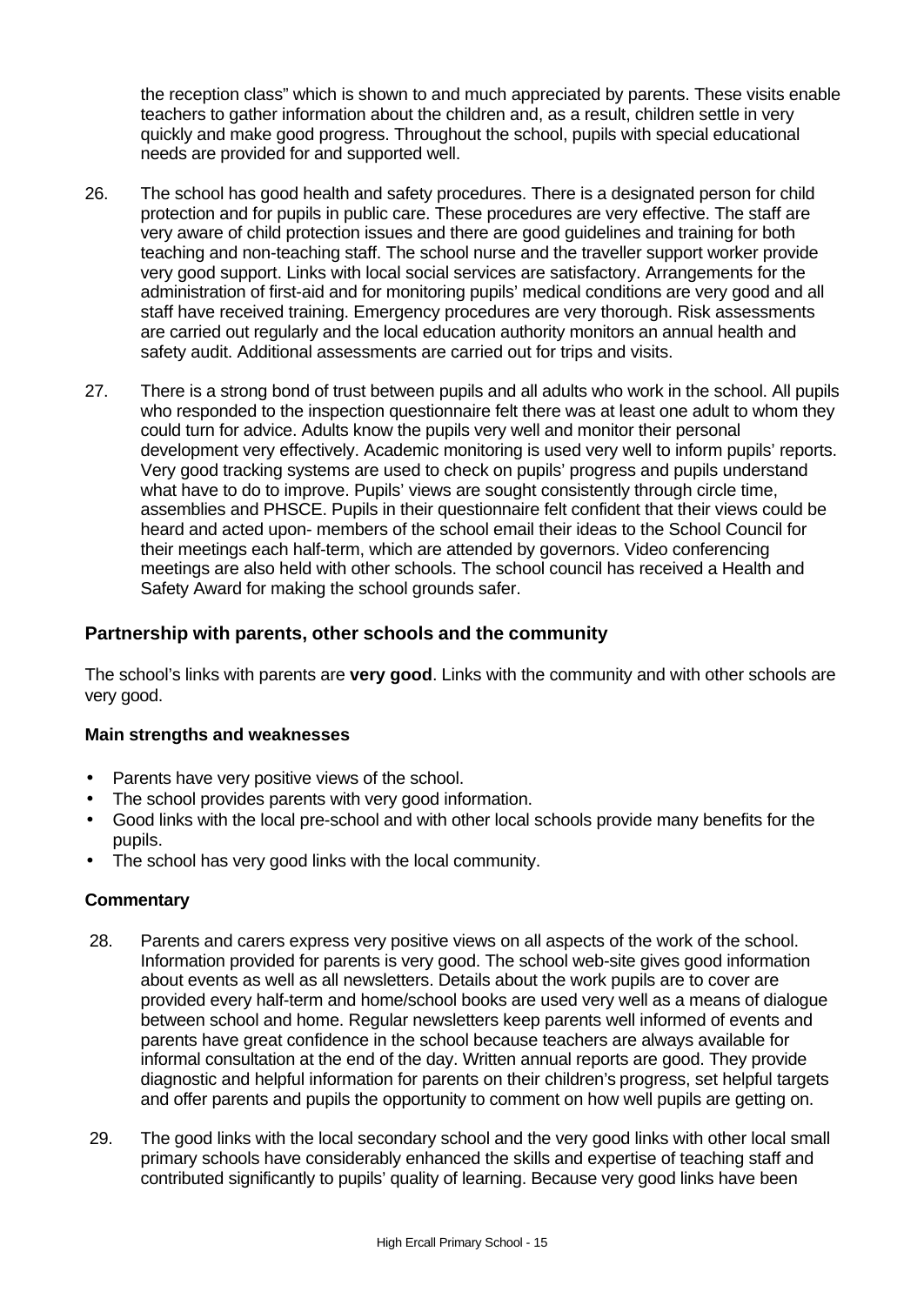the reception class" which is shown to and much appreciated by parents. These visits enable teachers to gather information about the children and, as a result, children settle in very quickly and make good progress. Throughout the school, pupils with special educational needs are provided for and supported well.

- 26. The school has good health and safety procedures. There is a designated person for child protection and for pupils in public care. These procedures are very effective. The staff are very aware of child protection issues and there are good guidelines and training for both teaching and non-teaching staff. The school nurse and the traveller support worker provide very good support. Links with local social services are satisfactory. Arrangements for the administration of first-aid and for monitoring pupils' medical conditions are very good and all staff have received training. Emergency procedures are very thorough. Risk assessments are carried out regularly and the local education authority monitors an annual health and safety audit. Additional assessments are carried out for trips and visits.
- 27. There is a strong bond of trust between pupils and all adults who work in the school. All pupils who responded to the inspection questionnaire felt there was at least one adult to whom they could turn for advice. Adults know the pupils very well and monitor their personal development very effectively. Academic monitoring is used very well to inform pupils' reports. Very good tracking systems are used to check on pupils' progress and pupils understand what have to do to improve. Pupils' views are sought consistently through circle time, assemblies and PHSCE. Pupils in their questionnaire felt confident that their views could be heard and acted upon- members of the school email their ideas to the School Council for their meetings each half-term, which are attended by governors. Video conferencing meetings are also held with other schools. The school council has received a Health and Safety Award for making the school grounds safer.

# **Partnership with parents, other schools and the community**

The school's links with parents are **very good**. Links with the community and with other schools are very good.

### **Main strengths and weaknesses**

- Parents have very positive views of the school.
- The school provides parents with very good information.
- Good links with the local pre-school and with other local schools provide many benefits for the pupils.
- The school has very good links with the local community.

- 28. Parents and carers express very positive views on all aspects of the work of the school. Information provided for parents is very good. The school web-site gives good information about events as well as all newsletters. Details about the work pupils are to cover are provided every half-term and home/school books are used very well as a means of dialogue between school and home. Regular newsletters keep parents well informed of events and parents have great confidence in the school because teachers are always available for informal consultation at the end of the day. Written annual reports are good. They provide diagnostic and helpful information for parents on their children's progress, set helpful targets and offer parents and pupils the opportunity to comment on how well pupils are getting on.
- 29. The good links with the local secondary school and the very good links with other local small primary schools have considerably enhanced the skills and expertise of teaching staff and contributed significantly to pupils' quality of learning. Because very good links have been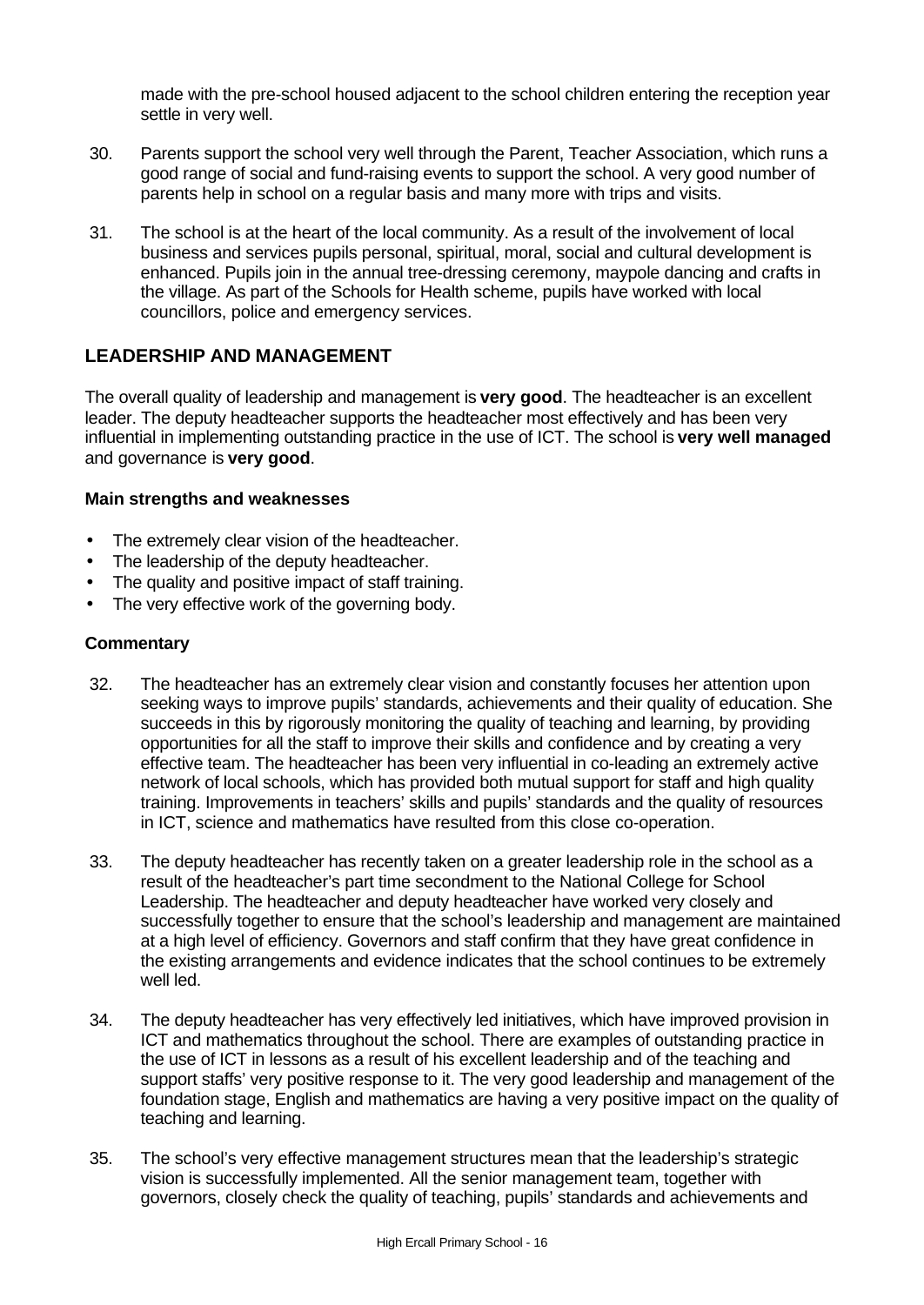made with the pre-school housed adjacent to the school children entering the reception year settle in very well.

- 30. Parents support the school very well through the Parent, Teacher Association, which runs a good range of social and fund-raising events to support the school. A very good number of parents help in school on a regular basis and many more with trips and visits.
- 31. The school is at the heart of the local community. As a result of the involvement of local business and services pupils personal, spiritual, moral, social and cultural development is enhanced. Pupils join in the annual tree-dressing ceremony, maypole dancing and crafts in the village. As part of the Schools for Health scheme, pupils have worked with local councillors, police and emergency services.

# **LEADERSHIP AND MANAGEMENT**

The overall quality of leadership and management is **very good**. The headteacher is an excellent leader. The deputy headteacher supports the headteacher most effectively and has been very influential in implementing outstanding practice in the use of ICT. The school is **very well managed** and governance is **very good**.

### **Main strengths and weaknesses**

- The extremely clear vision of the headteacher.
- The leadership of the deputy headteacher.
- The quality and positive impact of staff training.
- The very effective work of the governing body.

- 32. The headteacher has an extremely clear vision and constantly focuses her attention upon seeking ways to improve pupils' standards, achievements and their quality of education. She succeeds in this by rigorously monitoring the quality of teaching and learning, by providing opportunities for all the staff to improve their skills and confidence and by creating a very effective team. The headteacher has been very influential in co-leading an extremely active network of local schools, which has provided both mutual support for staff and high quality training. Improvements in teachers' skills and pupils' standards and the quality of resources in ICT, science and mathematics have resulted from this close co-operation.
- 33. The deputy headteacher has recently taken on a greater leadership role in the school as a result of the headteacher's part time secondment to the National College for School Leadership. The headteacher and deputy headteacher have worked very closely and successfully together to ensure that the school's leadership and management are maintained at a high level of efficiency. Governors and staff confirm that they have great confidence in the existing arrangements and evidence indicates that the school continues to be extremely well led.
- 34. The deputy headteacher has very effectively led initiatives, which have improved provision in ICT and mathematics throughout the school. There are examples of outstanding practice in the use of ICT in lessons as a result of his excellent leadership and of the teaching and support staffs' very positive response to it. The very good leadership and management of the foundation stage, English and mathematics are having a very positive impact on the quality of teaching and learning.
- 35. The school's very effective management structures mean that the leadership's strategic vision is successfully implemented. All the senior management team, together with governors, closely check the quality of teaching, pupils' standards and achievements and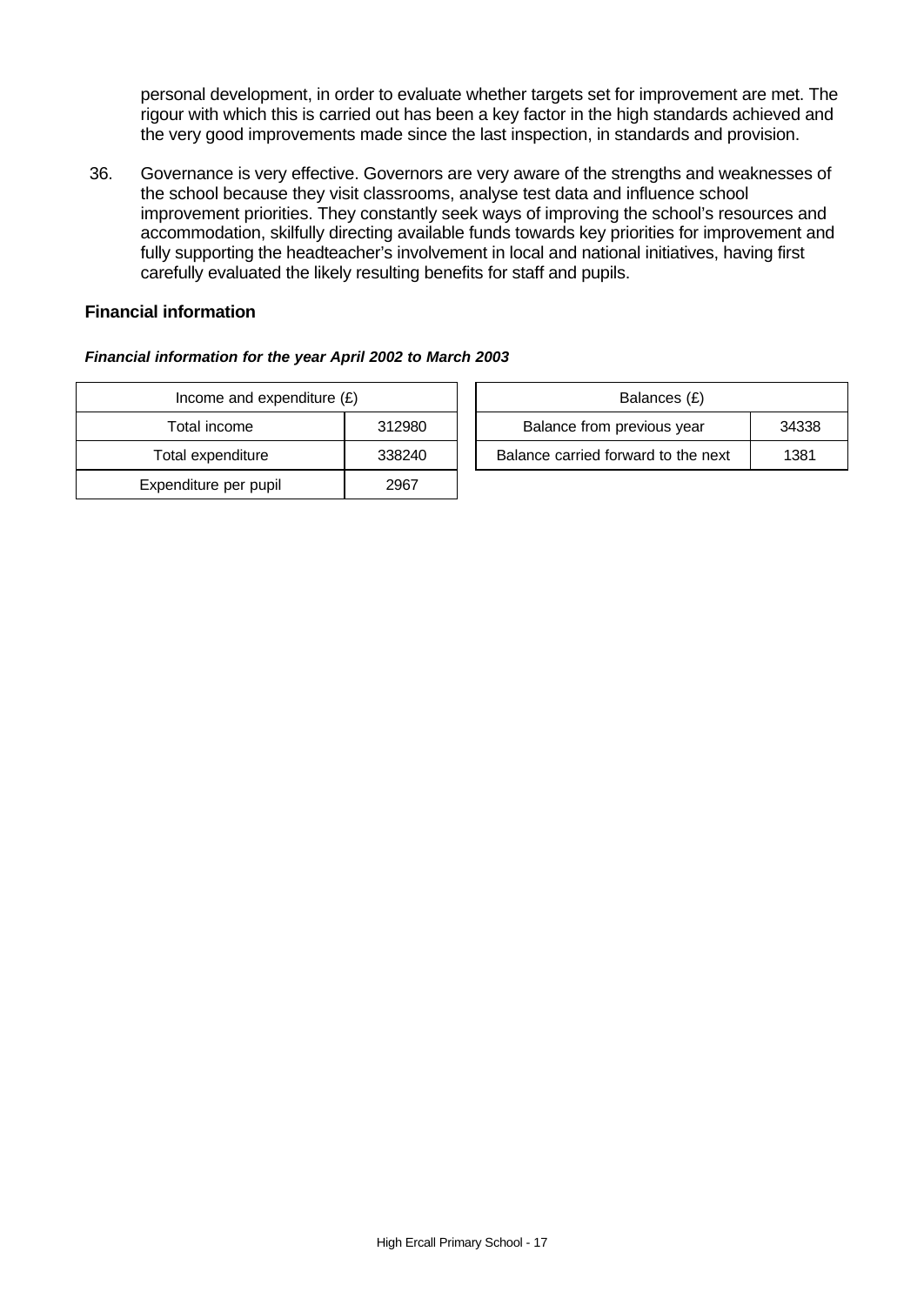personal development, in order to evaluate whether targets set for improvement are met. The rigour with which this is carried out has been a key factor in the high standards achieved and the very good improvements made since the last inspection, in standards and provision.

36. Governance is very effective. Governors are very aware of the strengths and weaknesses of the school because they visit classrooms, analyse test data and influence school improvement priorities. They constantly seek ways of improving the school's resources and accommodation, skilfully directing available funds towards key priorities for improvement and fully supporting the headteacher's involvement in local and national initiatives, having first carefully evaluated the likely resulting benefits for staff and pupils.

### **Financial information**

### *Financial information for the year April 2002 to March 2003*

| Income and expenditure $(E)$ |        |  | Balances (£)                   |
|------------------------------|--------|--|--------------------------------|
| Total income                 | 312980 |  | Balance from previous year     |
| Total expenditure            | 338240 |  | Balance carried forward to the |
| Expenditure per pupil        | 2967   |  |                                |

| Income and expenditure $(E)$ |        |  | Balances (£)                        |       |
|------------------------------|--------|--|-------------------------------------|-------|
| Total income                 | 312980 |  | Balance from previous year          | 34338 |
| Total expenditure            | 338240 |  | Balance carried forward to the next | 1381  |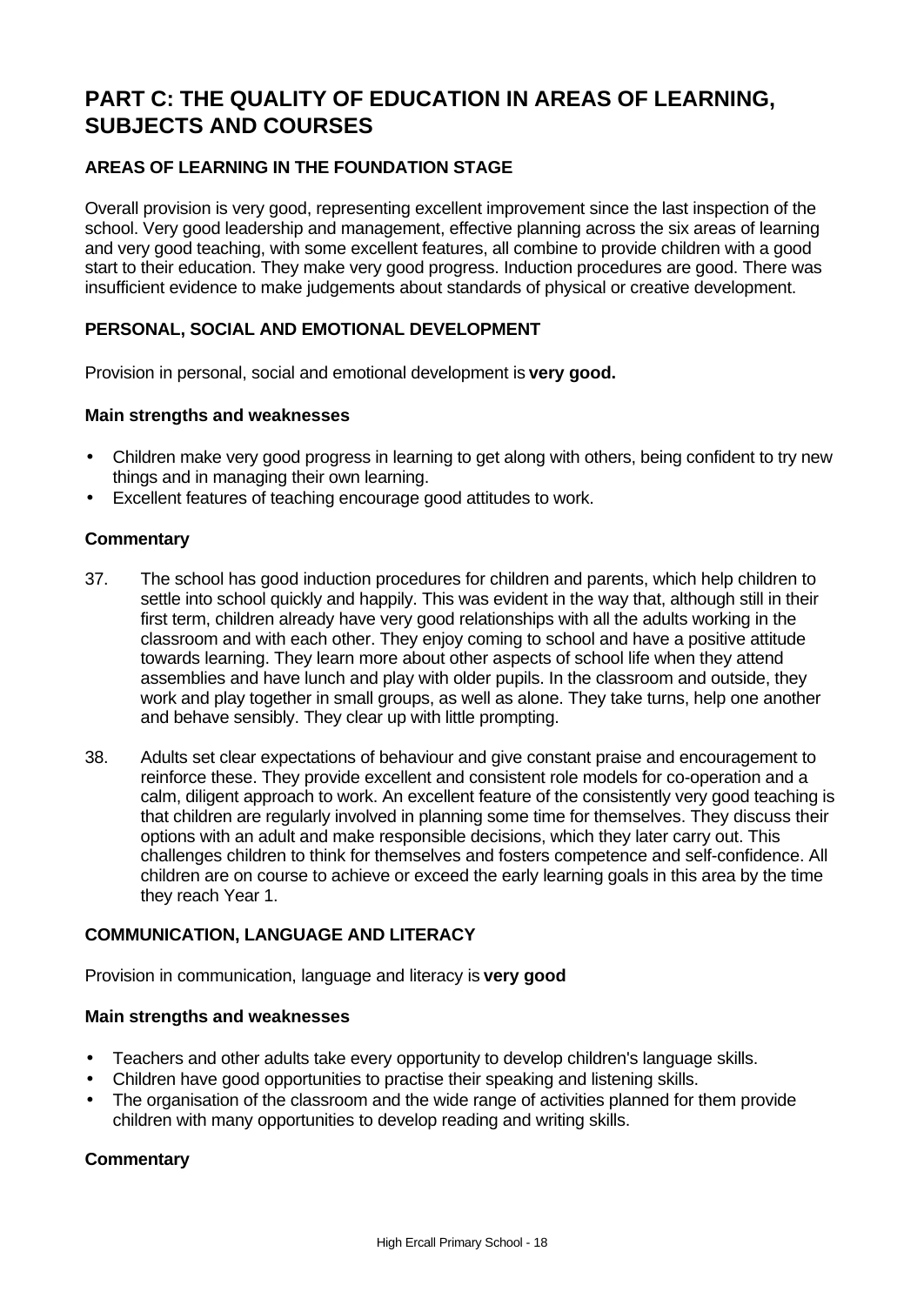# **PART C: THE QUALITY OF EDUCATION IN AREAS OF LEARNING, SUBJECTS AND COURSES**

# **AREAS OF LEARNING IN THE FOUNDATION STAGE**

Overall provision is very good, representing excellent improvement since the last inspection of the school. Very good leadership and management, effective planning across the six areas of learning and very good teaching, with some excellent features, all combine to provide children with a good start to their education. They make very good progress. Induction procedures are good. There was insufficient evidence to make judgements about standards of physical or creative development.

### **PERSONAL, SOCIAL AND EMOTIONAL DEVELOPMENT**

Provision in personal, social and emotional development is **very good.**

### **Main strengths and weaknesses**

- Children make very good progress in learning to get along with others, being confident to try new things and in managing their own learning.
- Excellent features of teaching encourage good attitudes to work.

### **Commentary**

- 37. The school has good induction procedures for children and parents, which help children to settle into school quickly and happily. This was evident in the way that, although still in their first term, children already have very good relationships with all the adults working in the classroom and with each other. They enjoy coming to school and have a positive attitude towards learning. They learn more about other aspects of school life when they attend assemblies and have lunch and play with older pupils. In the classroom and outside, they work and play together in small groups, as well as alone. They take turns, help one another and behave sensibly. They clear up with little prompting.
- 38. Adults set clear expectations of behaviour and give constant praise and encouragement to reinforce these. They provide excellent and consistent role models for co-operation and a calm, diligent approach to work. An excellent feature of the consistently very good teaching is that children are regularly involved in planning some time for themselves. They discuss their options with an adult and make responsible decisions, which they later carry out. This challenges children to think for themselves and fosters competence and self-confidence. All children are on course to achieve or exceed the early learning goals in this area by the time they reach Year 1.

### **COMMUNICATION, LANGUAGE AND LITERACY**

Provision in communication, language and literacy is **very good**

### **Main strengths and weaknesses**

- Teachers and other adults take every opportunity to develop children's language skills.
- Children have good opportunities to practise their speaking and listening skills.
- The organisation of the classroom and the wide range of activities planned for them provide children with many opportunities to develop reading and writing skills.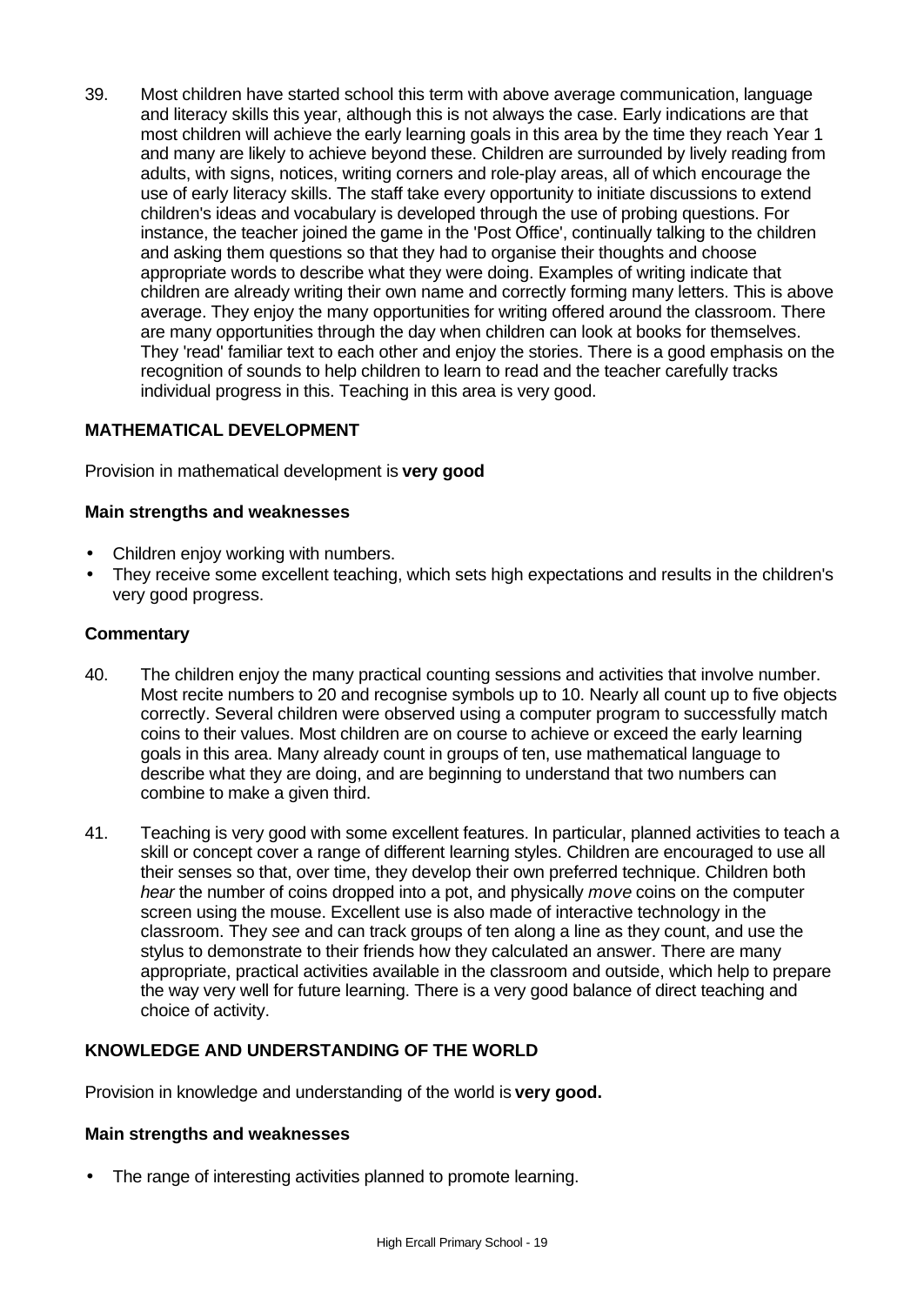39. Most children have started school this term with above average communication, language and literacy skills this year, although this is not always the case. Early indications are that most children will achieve the early learning goals in this area by the time they reach Year 1 and many are likely to achieve beyond these. Children are surrounded by lively reading from adults, with signs, notices, writing corners and role-play areas, all of which encourage the use of early literacy skills. The staff take every opportunity to initiate discussions to extend children's ideas and vocabulary is developed through the use of probing questions. For instance, the teacher joined the game in the 'Post Office', continually talking to the children and asking them questions so that they had to organise their thoughts and choose appropriate words to describe what they were doing. Examples of writing indicate that children are already writing their own name and correctly forming many letters. This is above average. They enjoy the many opportunities for writing offered around the classroom. There are many opportunities through the day when children can look at books for themselves. They 'read' familiar text to each other and enjoy the stories. There is a good emphasis on the recognition of sounds to help children to learn to read and the teacher carefully tracks individual progress in this. Teaching in this area is very good.

### **MATHEMATICAL DEVELOPMENT**

Provision in mathematical development is **very good**

### **Main strengths and weaknesses**

- Children enjoy working with numbers.
- They receive some excellent teaching, which sets high expectations and results in the children's very good progress.

### **Commentary**

- 40. The children enjoy the many practical counting sessions and activities that involve number. Most recite numbers to 20 and recognise symbols up to 10. Nearly all count up to five objects correctly. Several children were observed using a computer program to successfully match coins to their values. Most children are on course to achieve or exceed the early learning goals in this area. Many already count in groups of ten, use mathematical language to describe what they are doing, and are beginning to understand that two numbers can combine to make a given third.
- 41. Teaching is very good with some excellent features. In particular, planned activities to teach a skill or concept cover a range of different learning styles. Children are encouraged to use all their senses so that, over time, they develop their own preferred technique. Children both *hear* the number of coins dropped into a pot, and physically *move* coins on the computer screen using the mouse. Excellent use is also made of interactive technology in the classroom. They *see* and can track groups of ten along a line as they count, and use the stylus to demonstrate to their friends how they calculated an answer. There are many appropriate, practical activities available in the classroom and outside, which help to prepare the way very well for future learning. There is a very good balance of direct teaching and choice of activity.

### **KNOWLEDGE AND UNDERSTANDING OF THE WORLD**

Provision in knowledge and understanding of the world is **very good.**

### **Main strengths and weaknesses**

The range of interesting activities planned to promote learning.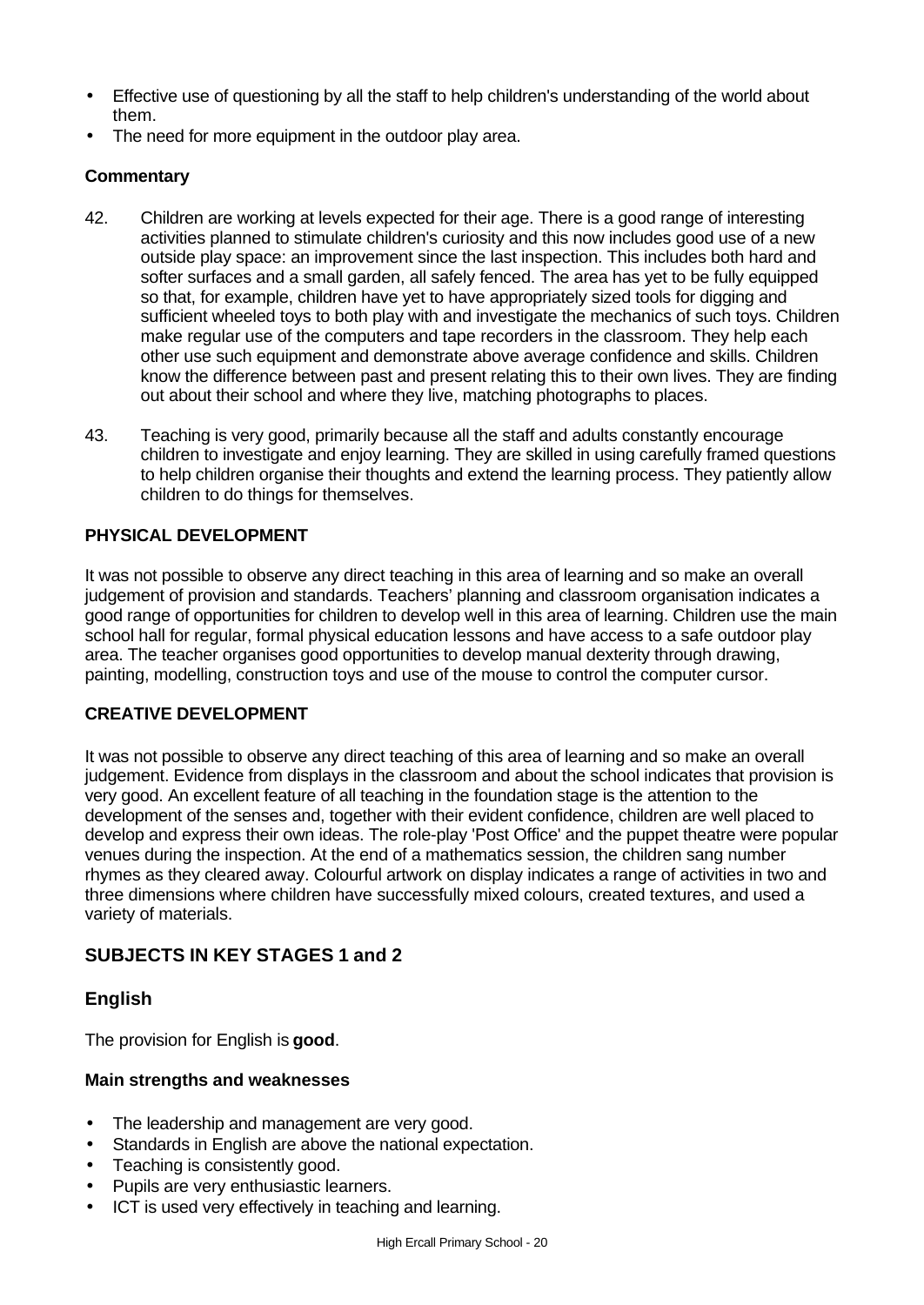- Effective use of questioning by all the staff to help children's understanding of the world about them.
- The need for more equipment in the outdoor play area.

# **Commentary**

- 42. Children are working at levels expected for their age. There is a good range of interesting activities planned to stimulate children's curiosity and this now includes good use of a new outside play space: an improvement since the last inspection. This includes both hard and softer surfaces and a small garden, all safely fenced. The area has yet to be fully equipped so that, for example, children have yet to have appropriately sized tools for digging and sufficient wheeled toys to both play with and investigate the mechanics of such toys. Children make regular use of the computers and tape recorders in the classroom. They help each other use such equipment and demonstrate above average confidence and skills. Children know the difference between past and present relating this to their own lives. They are finding out about their school and where they live, matching photographs to places.
- 43. Teaching is very good, primarily because all the staff and adults constantly encourage children to investigate and enjoy learning. They are skilled in using carefully framed questions to help children organise their thoughts and extend the learning process. They patiently allow children to do things for themselves.

# **PHYSICAL DEVELOPMENT**

It was not possible to observe any direct teaching in this area of learning and so make an overall judgement of provision and standards. Teachers' planning and classroom organisation indicates a good range of opportunities for children to develop well in this area of learning. Children use the main school hall for regular, formal physical education lessons and have access to a safe outdoor play area. The teacher organises good opportunities to develop manual dexterity through drawing, painting, modelling, construction toys and use of the mouse to control the computer cursor.

### **CREATIVE DEVELOPMENT**

It was not possible to observe any direct teaching of this area of learning and so make an overall judgement. Evidence from displays in the classroom and about the school indicates that provision is very good. An excellent feature of all teaching in the foundation stage is the attention to the development of the senses and, together with their evident confidence, children are well placed to develop and express their own ideas. The role-play 'Post Office' and the puppet theatre were popular venues during the inspection. At the end of a mathematics session, the children sang number rhymes as they cleared away. Colourful artwork on display indicates a range of activities in two and three dimensions where children have successfully mixed colours, created textures, and used a variety of materials.

# **SUBJECTS IN KEY STAGES 1 and 2**

# **English**

The provision for English is **good**.

### **Main strengths and weaknesses**

- The leadership and management are very good.
- Standards in English are above the national expectation.
- Teaching is consistently good.
- Pupils are very enthusiastic learners.
- ICT is used very effectively in teaching and learning.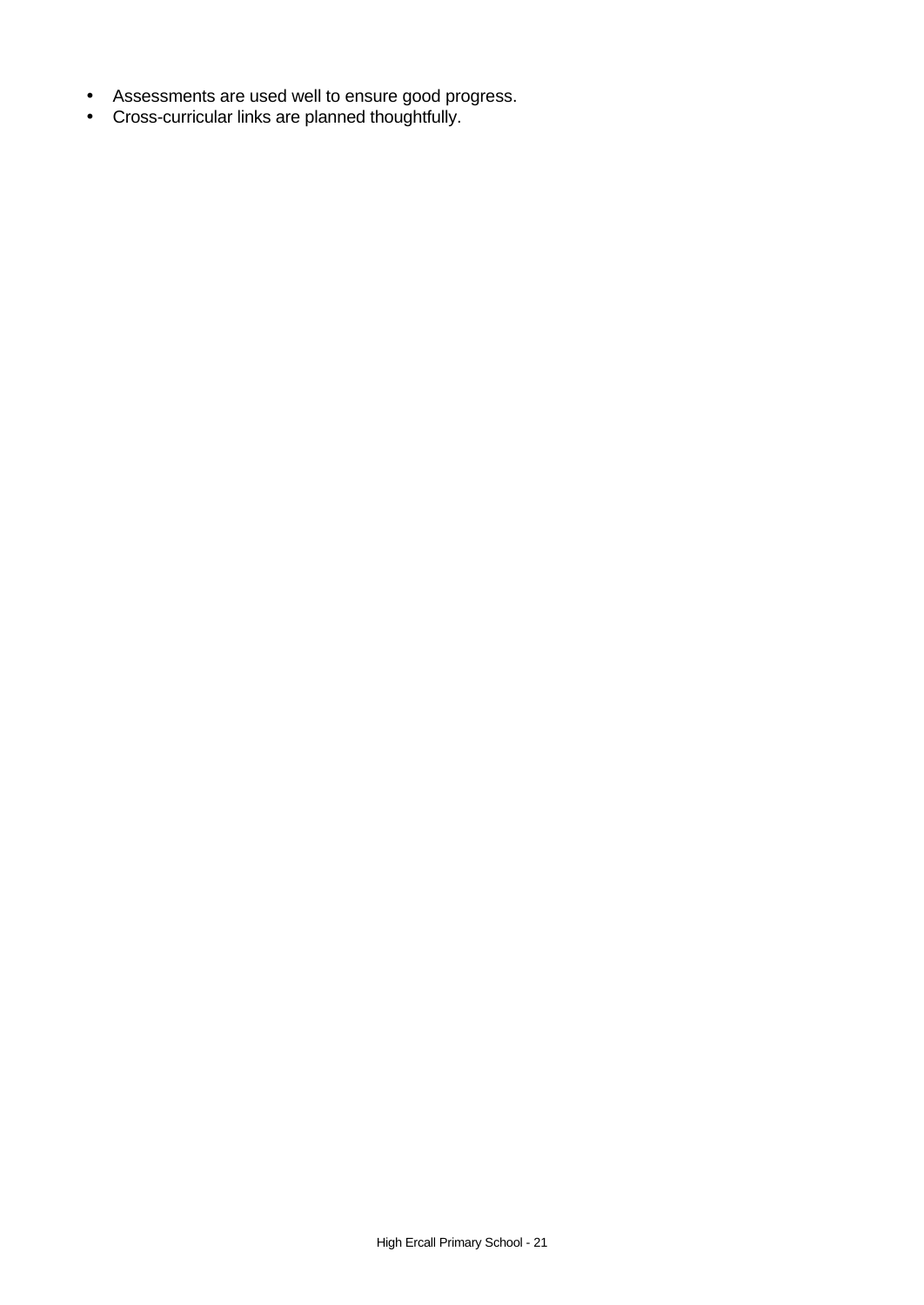- Assessments are used well to ensure good progress.
- Cross-curricular links are planned thoughtfully.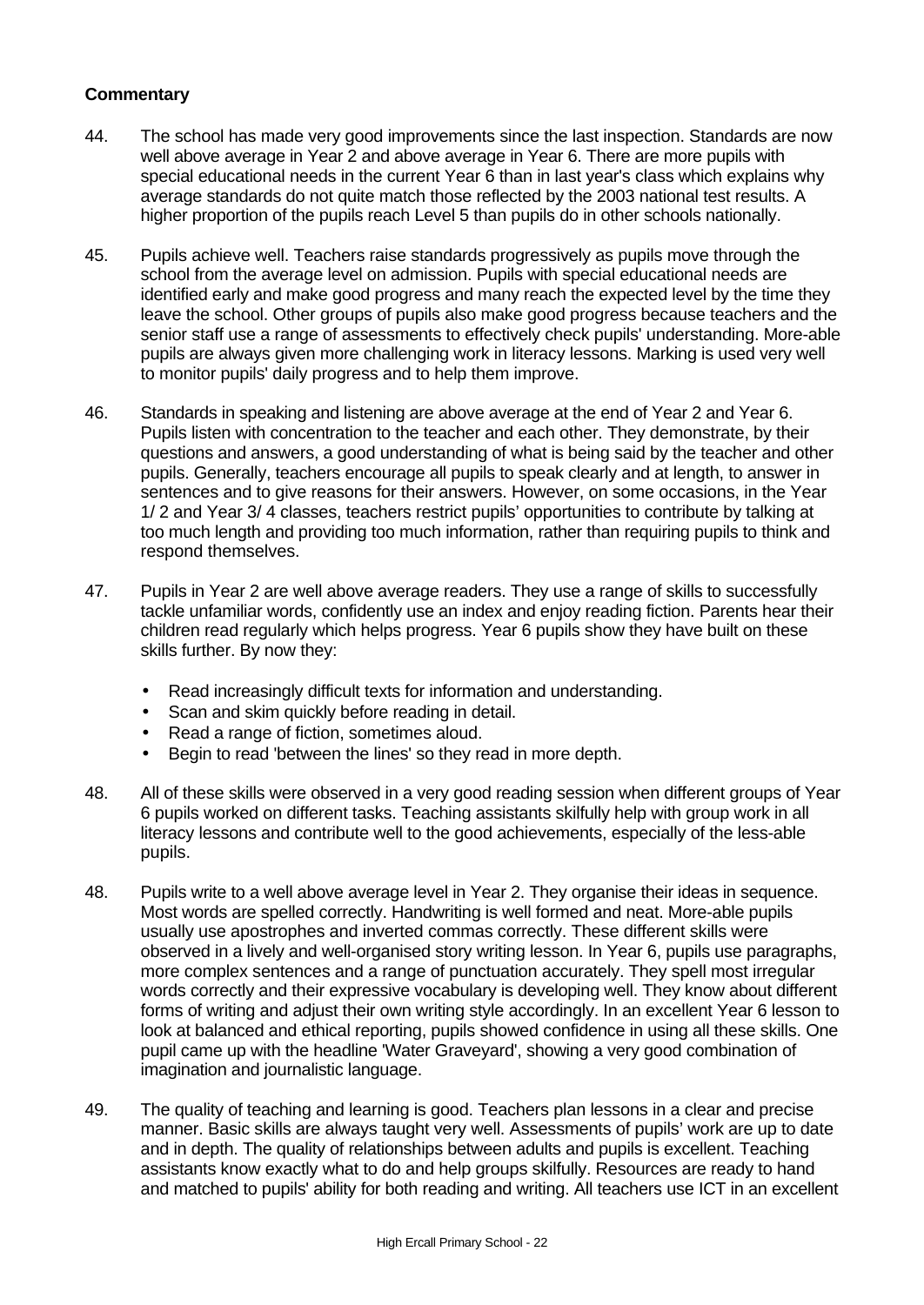- 44. The school has made very good improvements since the last inspection. Standards are now well above average in Year 2 and above average in Year 6. There are more pupils with special educational needs in the current Year 6 than in last year's class which explains why average standards do not quite match those reflected by the 2003 national test results. A higher proportion of the pupils reach Level 5 than pupils do in other schools nationally.
- 45. Pupils achieve well. Teachers raise standards progressively as pupils move through the school from the average level on admission. Pupils with special educational needs are identified early and make good progress and many reach the expected level by the time they leave the school. Other groups of pupils also make good progress because teachers and the senior staff use a range of assessments to effectively check pupils' understanding. More-able pupils are always given more challenging work in literacy lessons. Marking is used very well to monitor pupils' daily progress and to help them improve.
- 46. Standards in speaking and listening are above average at the end of Year 2 and Year 6. Pupils listen with concentration to the teacher and each other. They demonstrate, by their questions and answers, a good understanding of what is being said by the teacher and other pupils. Generally, teachers encourage all pupils to speak clearly and at length, to answer in sentences and to give reasons for their answers. However, on some occasions, in the Year 1/ 2 and Year 3/ 4 classes, teachers restrict pupils' opportunities to contribute by talking at too much length and providing too much information, rather than requiring pupils to think and respond themselves.
- 47. Pupils in Year 2 are well above average readers. They use a range of skills to successfully tackle unfamiliar words, confidently use an index and enjoy reading fiction. Parents hear their children read regularly which helps progress. Year 6 pupils show they have built on these skills further. By now they:
	- Read increasingly difficult texts for information and understanding.
	- Scan and skim quickly before reading in detail.
	- Read a range of fiction, sometimes aloud.
	- Begin to read 'between the lines' so they read in more depth.
- 48. All of these skills were observed in a very good reading session when different groups of Year 6 pupils worked on different tasks. Teaching assistants skilfully help with group work in all literacy lessons and contribute well to the good achievements, especially of the less-able pupils.
- 48. Pupils write to a well above average level in Year 2. They organise their ideas in sequence. Most words are spelled correctly. Handwriting is well formed and neat. More-able pupils usually use apostrophes and inverted commas correctly. These different skills were observed in a lively and well-organised story writing lesson. In Year 6, pupils use paragraphs, more complex sentences and a range of punctuation accurately. They spell most irregular words correctly and their expressive vocabulary is developing well. They know about different forms of writing and adjust their own writing style accordingly. In an excellent Year 6 lesson to look at balanced and ethical reporting, pupils showed confidence in using all these skills. One pupil came up with the headline 'Water Graveyard', showing a very good combination of imagination and journalistic language.
- 49. The quality of teaching and learning is good. Teachers plan lessons in a clear and precise manner. Basic skills are always taught very well. Assessments of pupils' work are up to date and in depth. The quality of relationships between adults and pupils is excellent. Teaching assistants know exactly what to do and help groups skilfully. Resources are ready to hand and matched to pupils' ability for both reading and writing. All teachers use ICT in an excellent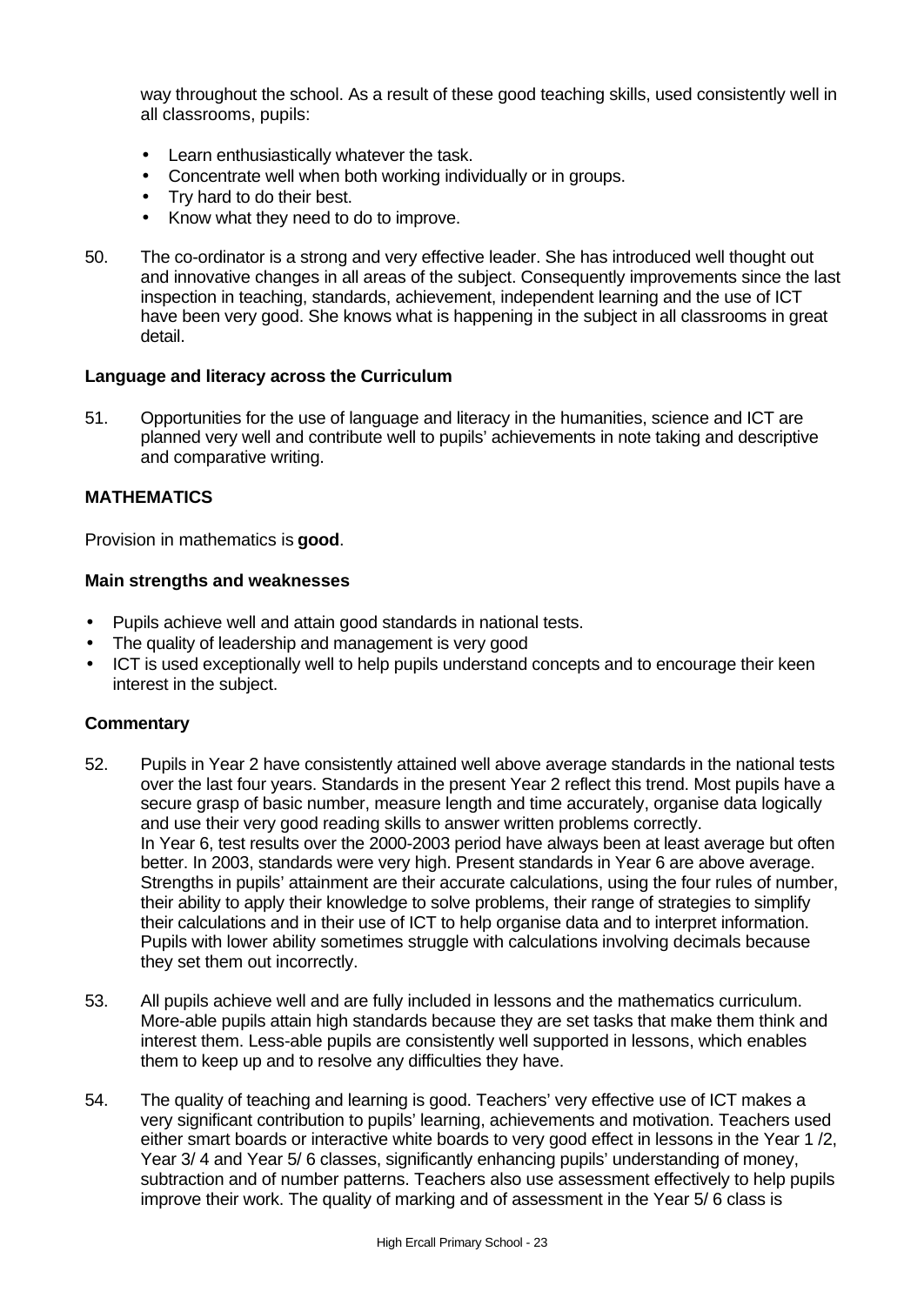way throughout the school. As a result of these good teaching skills, used consistently well in all classrooms, pupils:

- Learn enthusiastically whatever the task.
- Concentrate well when both working individually or in groups.
- Try hard to do their best.
- Know what they need to do to improve.
- 50. The co-ordinator is a strong and very effective leader. She has introduced well thought out and innovative changes in all areas of the subject. Consequently improvements since the last inspection in teaching, standards, achievement, independent learning and the use of ICT have been very good. She knows what is happening in the subject in all classrooms in great detail.

### **Language and literacy across the Curriculum**

51. Opportunities for the use of language and literacy in the humanities, science and ICT are planned very well and contribute well to pupils' achievements in note taking and descriptive and comparative writing.

### **MATHEMATICS**

Provision in mathematics is **good**.

### **Main strengths and weaknesses**

- Pupils achieve well and attain good standards in national tests.
- The quality of leadership and management is very good
- ICT is used exceptionally well to help pupils understand concepts and to encourage their keen interest in the subject.

- 52. Pupils in Year 2 have consistently attained well above average standards in the national tests over the last four years. Standards in the present Year 2 reflect this trend. Most pupils have a secure grasp of basic number, measure length and time accurately, organise data logically and use their very good reading skills to answer written problems correctly. In Year 6, test results over the 2000-2003 period have always been at least average but often better. In 2003, standards were very high. Present standards in Year 6 are above average. Strengths in pupils' attainment are their accurate calculations, using the four rules of number, their ability to apply their knowledge to solve problems, their range of strategies to simplify their calculations and in their use of ICT to help organise data and to interpret information. Pupils with lower ability sometimes struggle with calculations involving decimals because they set them out incorrectly.
- 53. All pupils achieve well and are fully included in lessons and the mathematics curriculum. More-able pupils attain high standards because they are set tasks that make them think and interest them. Less-able pupils are consistently well supported in lessons, which enables them to keep up and to resolve any difficulties they have.
- 54. The quality of teaching and learning is good. Teachers' very effective use of ICT makes a very significant contribution to pupils' learning, achievements and motivation. Teachers used either smart boards or interactive white boards to very good effect in lessons in the Year 1 /2, Year 3/ 4 and Year 5/ 6 classes, significantly enhancing pupils' understanding of money, subtraction and of number patterns. Teachers also use assessment effectively to help pupils improve their work. The quality of marking and of assessment in the Year 5/ 6 class is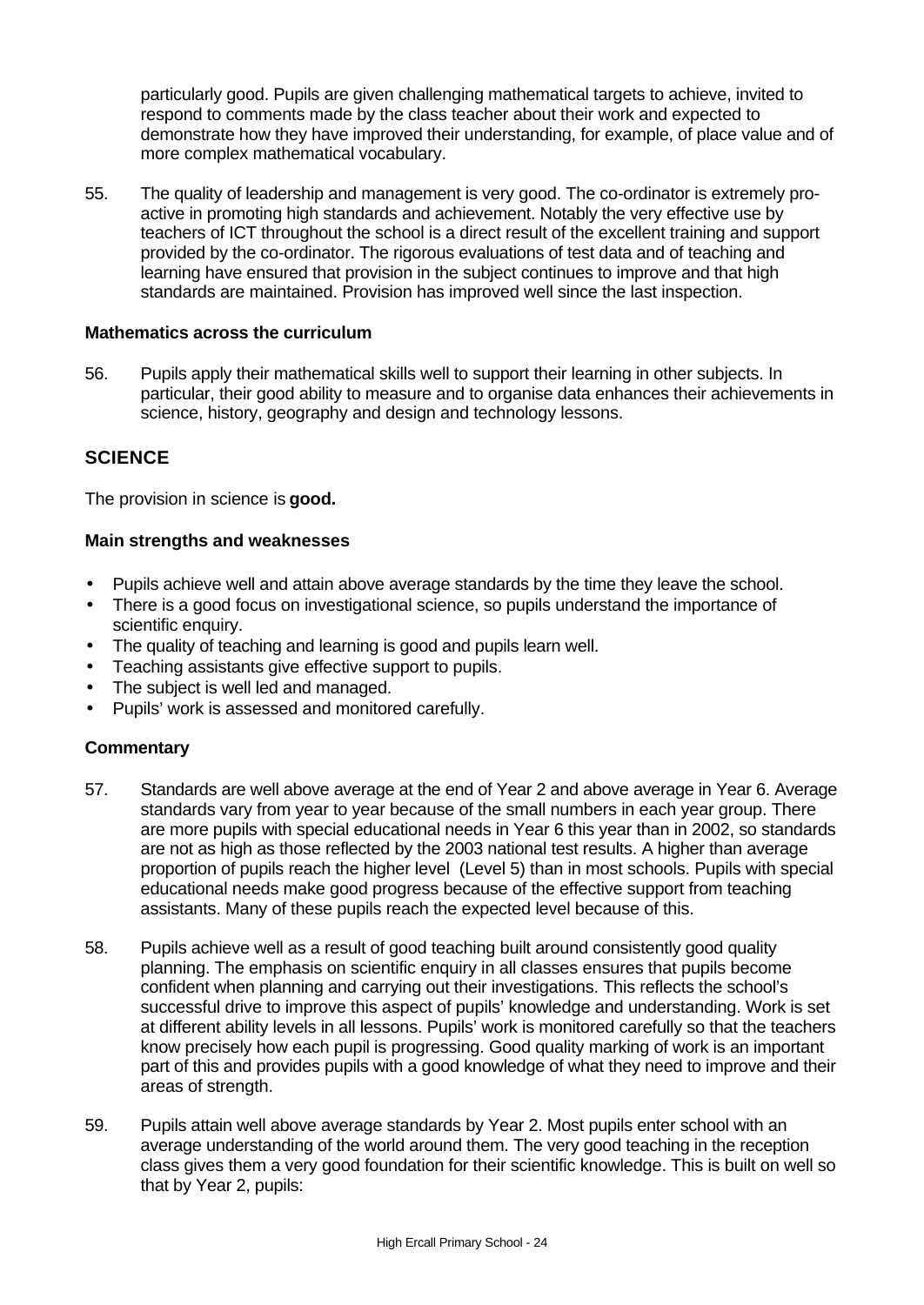particularly good. Pupils are given challenging mathematical targets to achieve, invited to respond to comments made by the class teacher about their work and expected to demonstrate how they have improved their understanding, for example, of place value and of more complex mathematical vocabulary.

55. The quality of leadership and management is very good. The co-ordinator is extremely proactive in promoting high standards and achievement. Notably the very effective use by teachers of ICT throughout the school is a direct result of the excellent training and support provided by the co-ordinator. The rigorous evaluations of test data and of teaching and learning have ensured that provision in the subject continues to improve and that high standards are maintained. Provision has improved well since the last inspection.

### **Mathematics across the curriculum**

56. Pupils apply their mathematical skills well to support their learning in other subjects. In particular, their good ability to measure and to organise data enhances their achievements in science, history, geography and design and technology lessons.

# **SCIENCE**

The provision in science is **good.**

### **Main strengths and weaknesses**

- Pupils achieve well and attain above average standards by the time they leave the school.
- There is a good focus on investigational science, so pupils understand the importance of scientific enquiry.
- The quality of teaching and learning is good and pupils learn well.
- Teaching assistants give effective support to pupils.
- The subject is well led and managed.
- Pupils' work is assessed and monitored carefully.

- 57. Standards are well above average at the end of Year 2 and above average in Year 6. Average standards vary from year to year because of the small numbers in each year group. There are more pupils with special educational needs in Year 6 this year than in 2002, so standards are not as high as those reflected by the 2003 national test results. A higher than average proportion of pupils reach the higher level (Level 5) than in most schools. Pupils with special educational needs make good progress because of the effective support from teaching assistants. Many of these pupils reach the expected level because of this.
- 58. Pupils achieve well as a result of good teaching built around consistently good quality planning. The emphasis on scientific enquiry in all classes ensures that pupils become confident when planning and carrying out their investigations. This reflects the school's successful drive to improve this aspect of pupils' knowledge and understanding. Work is set at different ability levels in all lessons. Pupils' work is monitored carefully so that the teachers know precisely how each pupil is progressing. Good quality marking of work is an important part of this and provides pupils with a good knowledge of what they need to improve and their areas of strength.
- 59. Pupils attain well above average standards by Year 2. Most pupils enter school with an average understanding of the world around them. The very good teaching in the reception class gives them a very good foundation for their scientific knowledge. This is built on well so that by Year 2, pupils: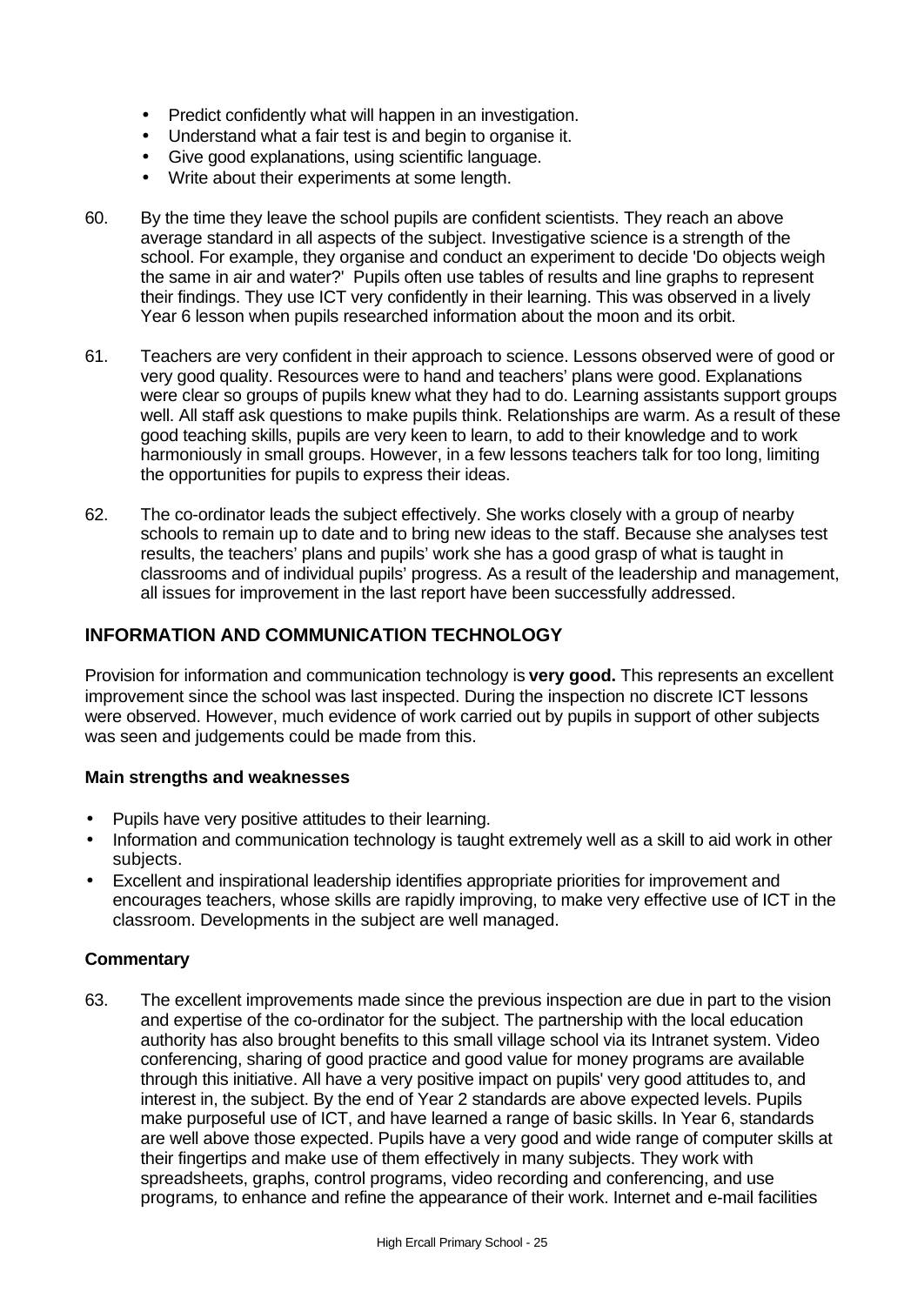- Predict confidently what will happen in an investigation.
- Understand what a fair test is and begin to organise it.
- Give good explanations, using scientific language.
- Write about their experiments at some length.
- 60. By the time they leave the school pupils are confident scientists. They reach an above average standard in all aspects of the subject. Investigative science is a strength of the school. For example, they organise and conduct an experiment to decide 'Do objects weigh the same in air and water?' Pupils often use tables of results and line graphs to represent their findings. They use ICT very confidently in their learning. This was observed in a lively Year 6 lesson when pupils researched information about the moon and its orbit.
- 61. Teachers are very confident in their approach to science. Lessons observed were of good or very good quality. Resources were to hand and teachers' plans were good. Explanations were clear so groups of pupils knew what they had to do. Learning assistants support groups well. All staff ask questions to make pupils think. Relationships are warm. As a result of these good teaching skills, pupils are very keen to learn, to add to their knowledge and to work harmoniously in small groups. However, in a few lessons teachers talk for too long, limiting the opportunities for pupils to express their ideas.
- 62. The co-ordinator leads the subject effectively. She works closely with a group of nearby schools to remain up to date and to bring new ideas to the staff. Because she analyses test results, the teachers' plans and pupils' work she has a good grasp of what is taught in classrooms and of individual pupils' progress. As a result of the leadership and management, all issues for improvement in the last report have been successfully addressed.

# **INFORMATION AND COMMUNICATION TECHNOLOGY**

Provision for information and communication technology is **very good.** This represents an excellent improvement since the school was last inspected. During the inspection no discrete ICT lessons were observed. However, much evidence of work carried out by pupils in support of other subjects was seen and judgements could be made from this.

### **Main strengths and weaknesses**

- Pupils have very positive attitudes to their learning.
- Information and communication technology is taught extremely well as a skill to aid work in other subjects.
- Excellent and inspirational leadership identifies appropriate priorities for improvement and encourages teachers, whose skills are rapidly improving, to make very effective use of ICT in the classroom. Developments in the subject are well managed.

### **Commentary**

63. The excellent improvements made since the previous inspection are due in part to the vision and expertise of the co-ordinator for the subject. The partnership with the local education authority has also brought benefits to this small village school via its Intranet system. Video conferencing, sharing of good practice and good value for money programs are available through this initiative. All have a very positive impact on pupils' very good attitudes to, and interest in, the subject. By the end of Year 2 standards are above expected levels. Pupils make purposeful use of ICT, and have learned a range of basic skills. In Year 6, standards are well above those expected. Pupils have a very good and wide range of computer skills at their fingertips and make use of them effectively in many subjects. They work with spreadsheets, graphs, control programs, video recording and conferencing, and use programs*,* to enhance and refine the appearance of their work. Internet and e-mail facilities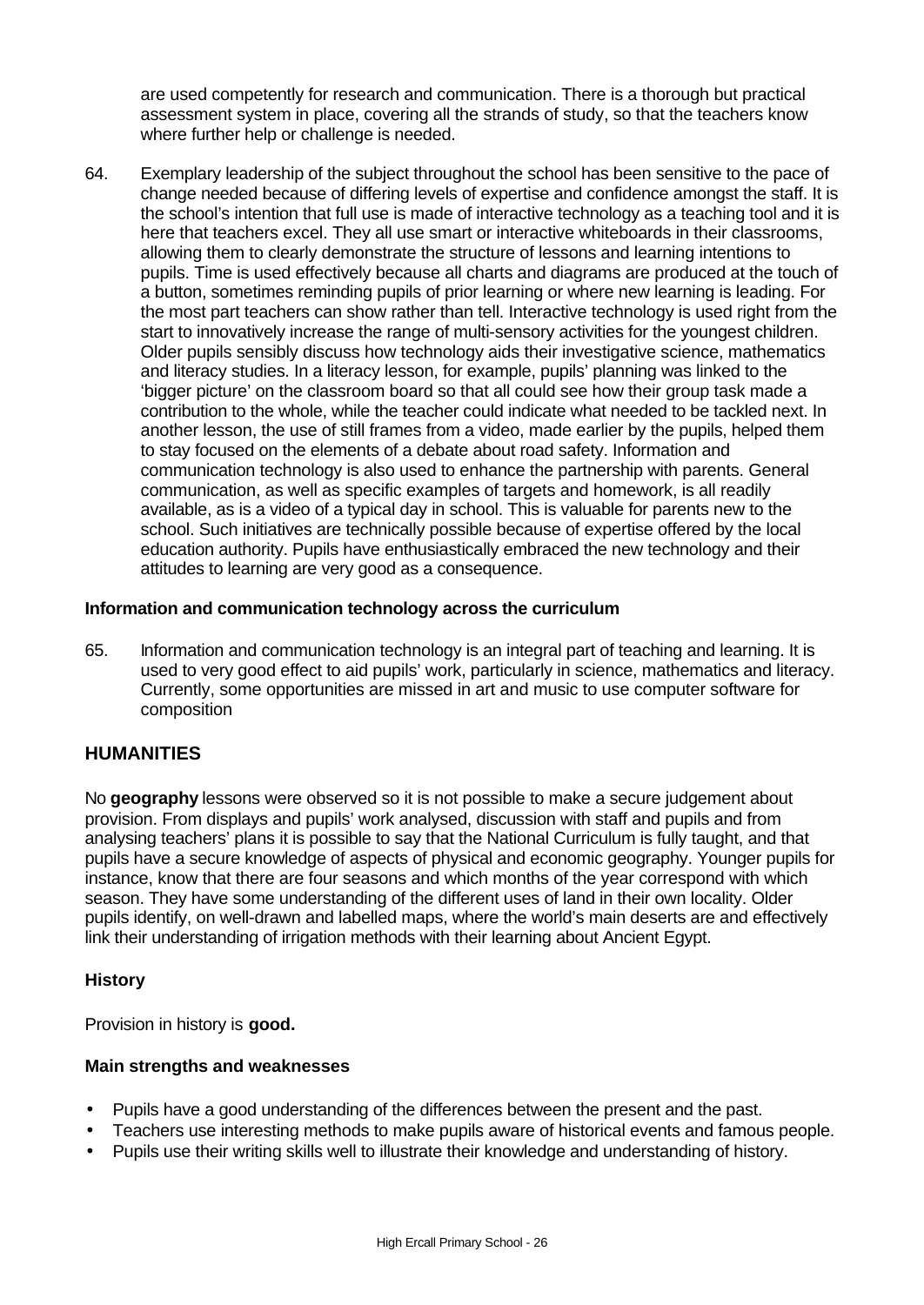are used competently for research and communication. There is a thorough but practical assessment system in place, covering all the strands of study, so that the teachers know where further help or challenge is needed.

64. Exemplary leadership of the subject throughout the school has been sensitive to the pace of change needed because of differing levels of expertise and confidence amongst the staff. It is the school's intention that full use is made of interactive technology as a teaching tool and it is here that teachers excel. They all use smart or interactive whiteboards in their classrooms, allowing them to clearly demonstrate the structure of lessons and learning intentions to pupils. Time is used effectively because all charts and diagrams are produced at the touch of a button, sometimes reminding pupils of prior learning or where new learning is leading. For the most part teachers can show rather than tell. Interactive technology is used right from the start to innovatively increase the range of multi-sensory activities for the youngest children. Older pupils sensibly discuss how technology aids their investigative science, mathematics and literacy studies. In a literacy lesson, for example, pupils' planning was linked to the 'bigger picture' on the classroom board so that all could see how their group task made a contribution to the whole, while the teacher could indicate what needed to be tackled next. In another lesson, the use of still frames from a video, made earlier by the pupils, helped them to stay focused on the elements of a debate about road safety. Information and communication technology is also used to enhance the partnership with parents. General communication, as well as specific examples of targets and homework, is all readily available, as is a video of a typical day in school. This is valuable for parents new to the school. Such initiatives are technically possible because of expertise offered by the local education authority. Pupils have enthusiastically embraced the new technology and their attitudes to learning are very good as a consequence.

### **Information and communication technology across the curriculum**

65. Information and communication technology is an integral part of teaching and learning. It is used to very good effect to aid pupils' work, particularly in science, mathematics and literacy. Currently, some opportunities are missed in art and music to use computer software for composition

# **HUMANITIES**

No **geography** lessons were observed so it is not possible to make a secure judgement about provision. From displays and pupils' work analysed, discussion with staff and pupils and from analysing teachers' plans it is possible to say that the National Curriculum is fully taught, and that pupils have a secure knowledge of aspects of physical and economic geography. Younger pupils for instance, know that there are four seasons and which months of the year correspond with which season. They have some understanding of the different uses of land in their own locality. Older pupils identify, on well-drawn and labelled maps, where the world's main deserts are and effectively link their understanding of irrigation methods with their learning about Ancient Egypt.

### **History**

Provision in history is **good.**

### **Main strengths and weaknesses**

- Pupils have a good understanding of the differences between the present and the past.
- Teachers use interesting methods to make pupils aware of historical events and famous people.
- Pupils use their writing skills well to illustrate their knowledge and understanding of history.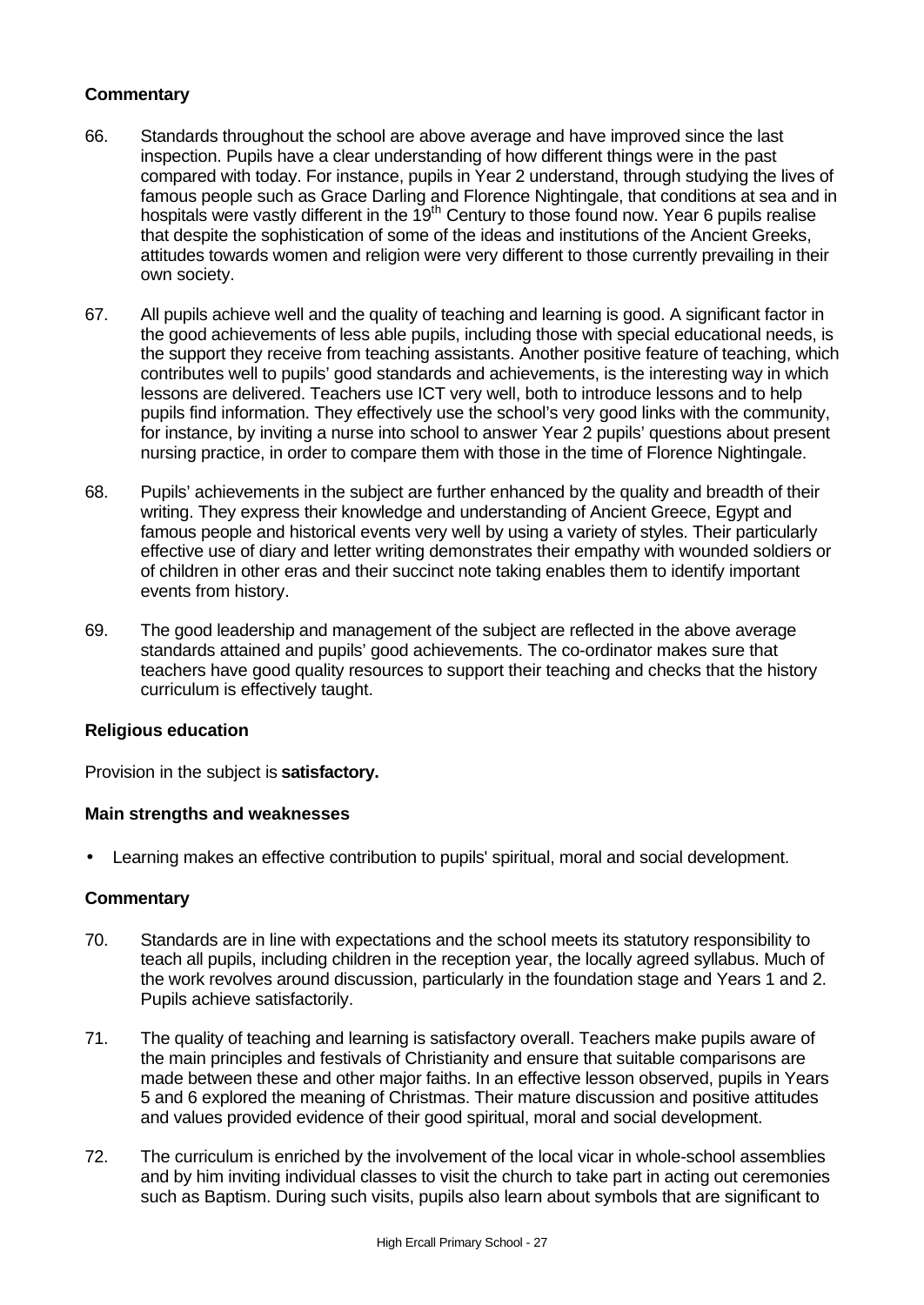### **Commentary**

- 66. Standards throughout the school are above average and have improved since the last inspection. Pupils have a clear understanding of how different things were in the past compared with today. For instance, pupils in Year 2 understand, through studying the lives of famous people such as Grace Darling and Florence Nightingale, that conditions at sea and in hospitals were vastly different in the 19<sup>th</sup> Century to those found now. Year 6 pupils realise that despite the sophistication of some of the ideas and institutions of the Ancient Greeks, attitudes towards women and religion were very different to those currently prevailing in their own society.
- 67. All pupils achieve well and the quality of teaching and learning is good. A significant factor in the good achievements of less able pupils, including those with special educational needs, is the support they receive from teaching assistants. Another positive feature of teaching, which contributes well to pupils' good standards and achievements, is the interesting way in which lessons are delivered. Teachers use ICT very well, both to introduce lessons and to help pupils find information. They effectively use the school's very good links with the community, for instance, by inviting a nurse into school to answer Year 2 pupils' questions about present nursing practice, in order to compare them with those in the time of Florence Nightingale.
- 68. Pupils' achievements in the subject are further enhanced by the quality and breadth of their writing. They express their knowledge and understanding of Ancient Greece, Egypt and famous people and historical events very well by using a variety of styles. Their particularly effective use of diary and letter writing demonstrates their empathy with wounded soldiers or of children in other eras and their succinct note taking enables them to identify important events from history.
- 69. The good leadership and management of the subject are reflected in the above average standards attained and pupils' good achievements. The co-ordinator makes sure that teachers have good quality resources to support their teaching and checks that the history curriculum is effectively taught.

### **Religious education**

Provision in the subject is **satisfactory.**

### **Main strengths and weaknesses**

• Learning makes an effective contribution to pupils' spiritual, moral and social development.

- 70. Standards are in line with expectations and the school meets its statutory responsibility to teach all pupils, including children in the reception year, the locally agreed syllabus. Much of the work revolves around discussion, particularly in the foundation stage and Years 1 and 2. Pupils achieve satisfactorily.
- 71. The quality of teaching and learning is satisfactory overall. Teachers make pupils aware of the main principles and festivals of Christianity and ensure that suitable comparisons are made between these and other major faiths. In an effective lesson observed, pupils in Years 5 and 6 explored the meaning of Christmas. Their mature discussion and positive attitudes and values provided evidence of their good spiritual, moral and social development.
- 72. The curriculum is enriched by the involvement of the local vicar in whole-school assemblies and by him inviting individual classes to visit the church to take part in acting out ceremonies such as Baptism. During such visits, pupils also learn about symbols that are significant to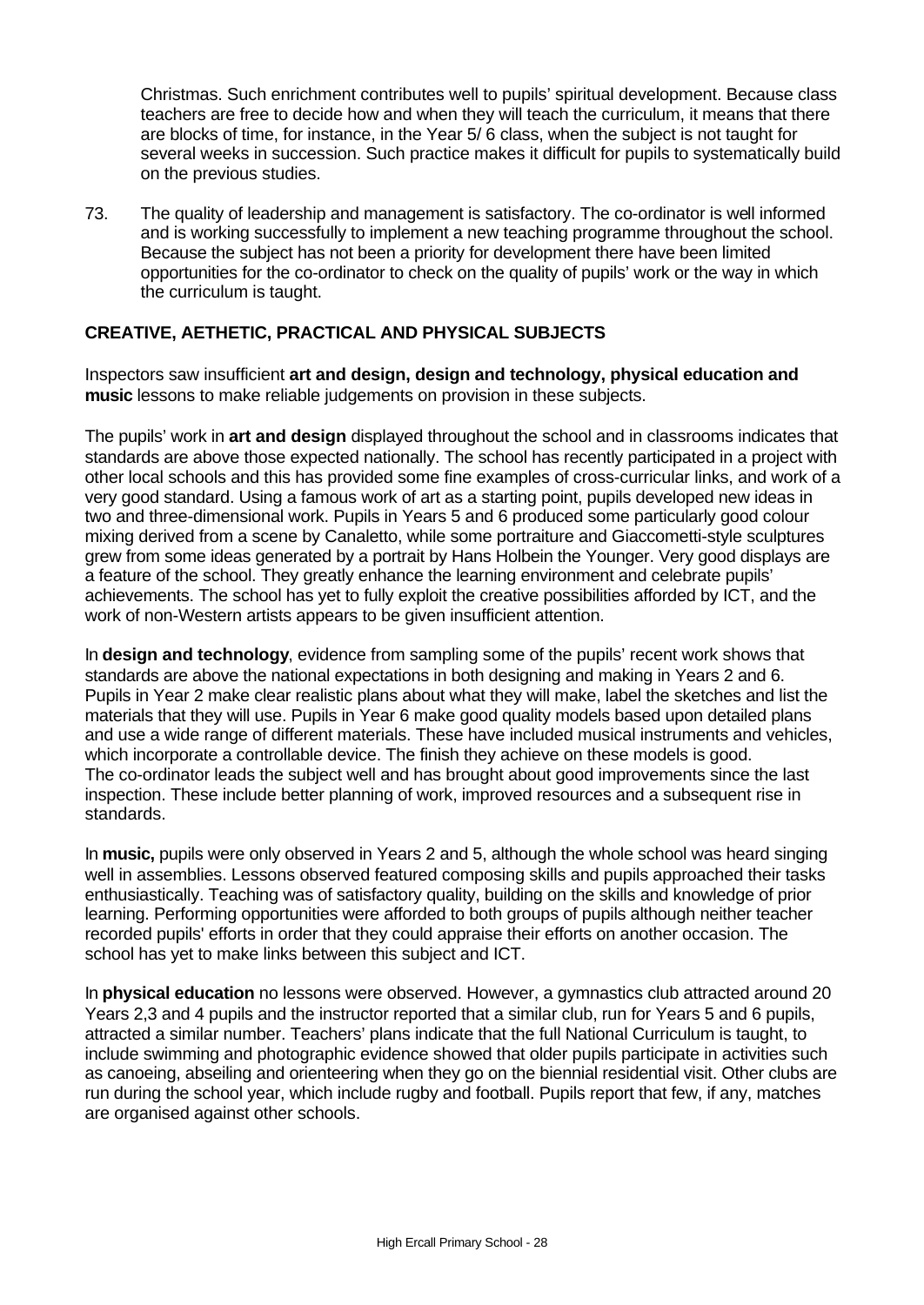Christmas. Such enrichment contributes well to pupils' spiritual development. Because class teachers are free to decide how and when they will teach the curriculum, it means that there are blocks of time, for instance, in the Year 5/ 6 class, when the subject is not taught for several weeks in succession. Such practice makes it difficult for pupils to systematically build on the previous studies.

73. The quality of leadership and management is satisfactory. The co-ordinator is well informed and is working successfully to implement a new teaching programme throughout the school. Because the subject has not been a priority for development there have been limited opportunities for the co-ordinator to check on the quality of pupils' work or the way in which the curriculum is taught.

### **CREATIVE, AETHETIC, PRACTICAL AND PHYSICAL SUBJECTS**

Inspectors saw insufficient **art and design, design and technology, physical education and music** lessons to make reliable judgements on provision in these subjects.

The pupils' work in **art and design** displayed throughout the school and in classrooms indicates that standards are above those expected nationally. The school has recently participated in a project with other local schools and this has provided some fine examples of cross-curricular links, and work of a very good standard. Using a famous work of art as a starting point, pupils developed new ideas in two and three-dimensional work. Pupils in Years 5 and 6 produced some particularly good colour mixing derived from a scene by Canaletto, while some portraiture and Giaccometti-style sculptures grew from some ideas generated by a portrait by Hans Holbein the Younger. Very good displays are a feature of the school. They greatly enhance the learning environment and celebrate pupils' achievements. The school has yet to fully exploit the creative possibilities afforded by ICT, and the work of non-Western artists appears to be given insufficient attention.

In **design and technology**, evidence from sampling some of the pupils' recent work shows that standards are above the national expectations in both designing and making in Years 2 and 6. Pupils in Year 2 make clear realistic plans about what they will make, label the sketches and list the materials that they will use. Pupils in Year 6 make good quality models based upon detailed plans and use a wide range of different materials. These have included musical instruments and vehicles, which incorporate a controllable device. The finish they achieve on these models is good. The co-ordinator leads the subject well and has brought about good improvements since the last inspection. These include better planning of work, improved resources and a subsequent rise in standards.

In **music,** pupils were only observed in Years 2 and 5, although the whole school was heard singing well in assemblies. Lessons observed featured composing skills and pupils approached their tasks enthusiastically. Teaching was of satisfactory quality, building on the skills and knowledge of prior learning. Performing opportunities were afforded to both groups of pupils although neither teacher recorded pupils' efforts in order that they could appraise their efforts on another occasion. The school has yet to make links between this subject and ICT.

In **physical education** no lessons were observed. However, a gymnastics club attracted around 20 Years 2,3 and 4 pupils and the instructor reported that a similar club, run for Years 5 and 6 pupils, attracted a similar number. Teachers' plans indicate that the full National Curriculum is taught, to include swimming and photographic evidence showed that older pupils participate in activities such as canoeing, abseiling and orienteering when they go on the biennial residential visit. Other clubs are run during the school year, which include rugby and football. Pupils report that few, if any, matches are organised against other schools.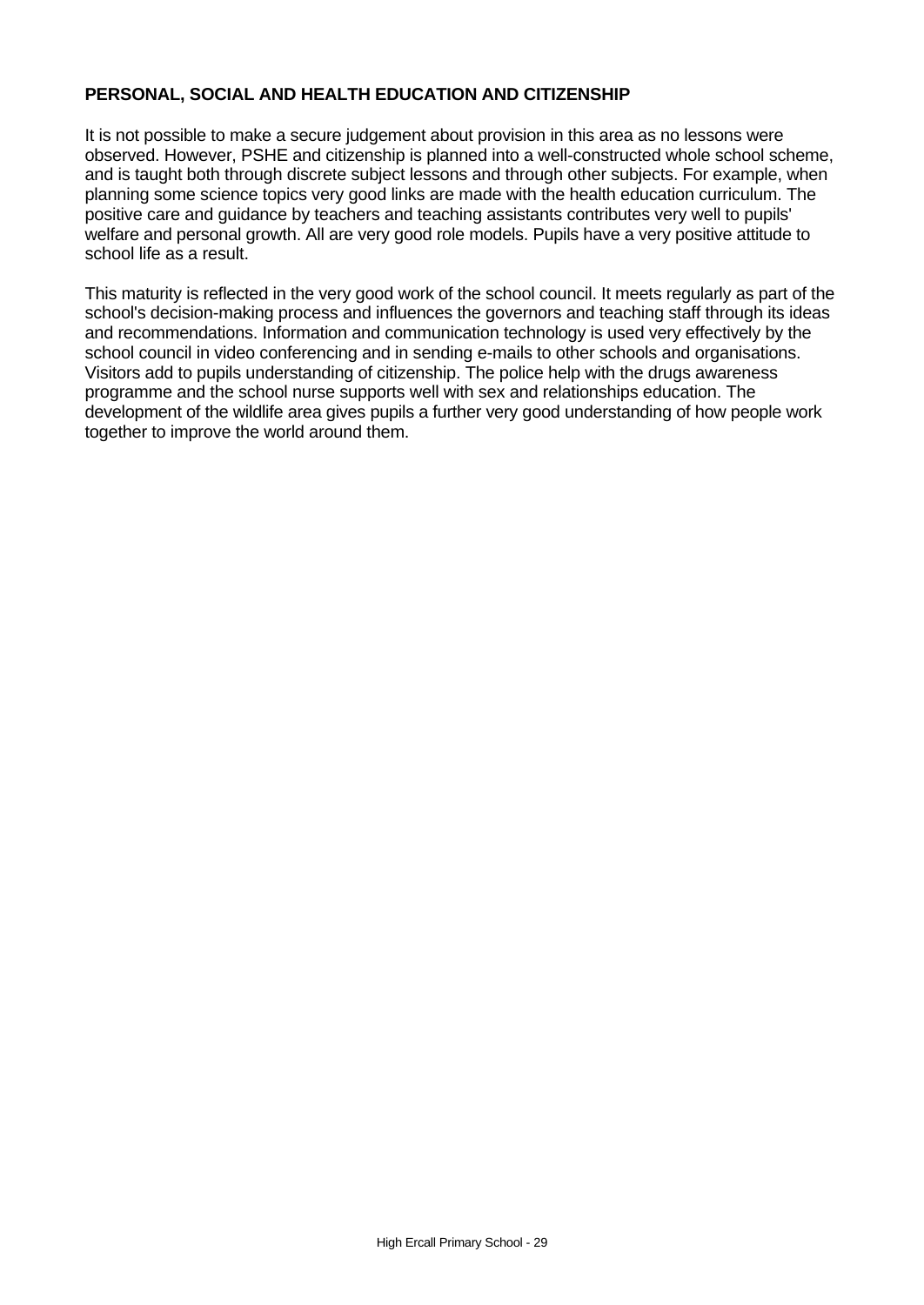### **PERSONAL, SOCIAL AND HEALTH EDUCATION AND CITIZENSHIP**

It is not possible to make a secure judgement about provision in this area as no lessons were observed. However, PSHE and citizenship is planned into a well-constructed whole school scheme, and is taught both through discrete subject lessons and through other subjects. For example, when planning some science topics very good links are made with the health education curriculum. The positive care and guidance by teachers and teaching assistants contributes very well to pupils' welfare and personal growth. All are very good role models. Pupils have a very positive attitude to school life as a result.

This maturity is reflected in the very good work of the school council. It meets regularly as part of the school's decision-making process and influences the governors and teaching staff through its ideas and recommendations. Information and communication technology is used very effectively by the school council in video conferencing and in sending e-mails to other schools and organisations. Visitors add to pupils understanding of citizenship. The police help with the drugs awareness programme and the school nurse supports well with sex and relationships education. The development of the wildlife area gives pupils a further very good understanding of how people work together to improve the world around them.